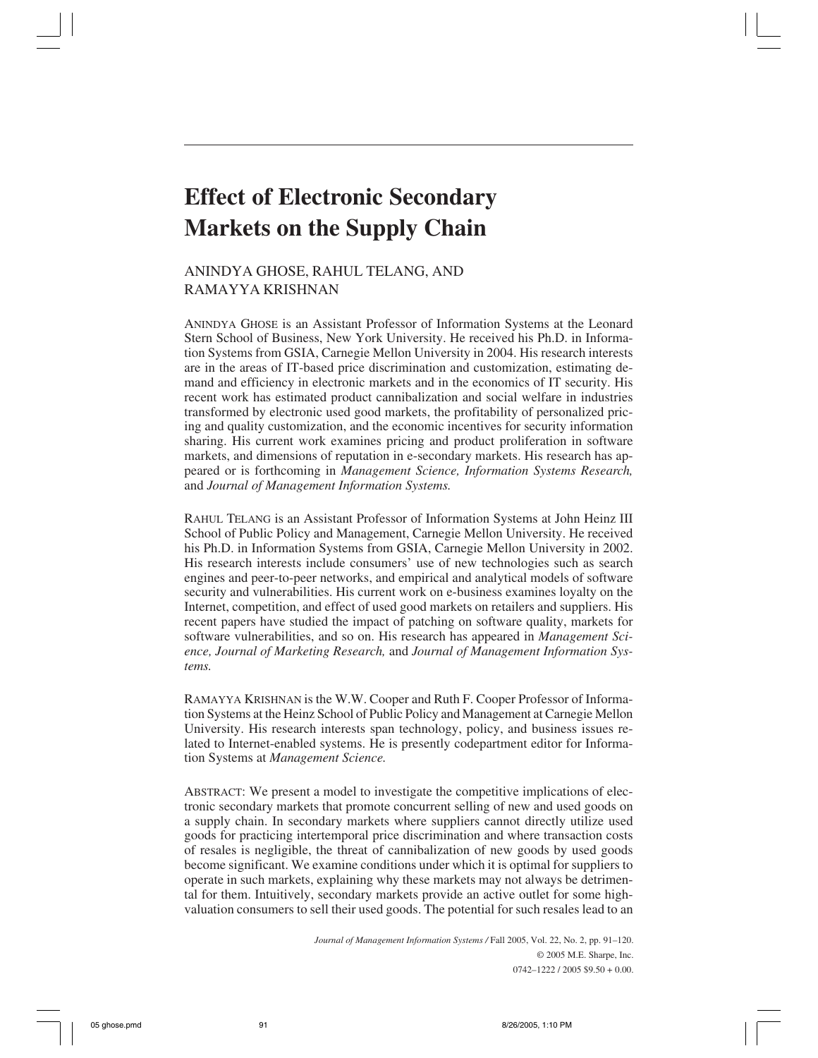# **Effect of Electronic Secondary Markets on the Supply Chain**

# ANINDYA GHOSE, RAHUL TELANG, AND RAMAYYA KRISHNAN

ANINDYA GHOSE is an Assistant Professor of Information Systems at the Leonard Stern School of Business, New York University. He received his Ph.D. in Information Systems from GSIA, Carnegie Mellon University in 2004. His research interests are in the areas of IT-based price discrimination and customization, estimating demand and efficiency in electronic markets and in the economics of IT security. His recent work has estimated product cannibalization and social welfare in industries transformed by electronic used good markets, the profitability of personalized pricing and quality customization, and the economic incentives for security information sharing. His current work examines pricing and product proliferation in software markets, and dimensions of reputation in e-secondary markets. His research has appeared or is forthcoming in *Management Science, Information Systems Research,* and *Journal of Management Information Systems.*

RAHUL TELANG is an Assistant Professor of Information Systems at John Heinz III School of Public Policy and Management, Carnegie Mellon University. He received his Ph.D. in Information Systems from GSIA, Carnegie Mellon University in 2002. His research interests include consumers' use of new technologies such as search engines and peer-to-peer networks, and empirical and analytical models of software security and vulnerabilities. His current work on e-business examines loyalty on the Internet, competition, and effect of used good markets on retailers and suppliers. His recent papers have studied the impact of patching on software quality, markets for software vulnerabilities, and so on. His research has appeared in *Management Science, Journal of Marketing Research,* and *Journal of Management Information Systems.*

RAMAYYA KRISHNAN is the W.W. Cooper and Ruth F. Cooper Professor of Information Systems at the Heinz School of Public Policy and Management at Carnegie Mellon University. His research interests span technology, policy, and business issues related to Internet-enabled systems. He is presently codepartment editor for Information Systems at *Management Science.*

ABSTRACT: We present a model to investigate the competitive implications of electronic secondary markets that promote concurrent selling of new and used goods on a supply chain. In secondary markets where suppliers cannot directly utilize used goods for practicing intertemporal price discrimination and where transaction costs of resales is negligible, the threat of cannibalization of new goods by used goods become significant. We examine conditions under which it is optimal for suppliers to operate in such markets, explaining why these markets may not always be detrimental for them. Intuitively, secondary markets provide an active outlet for some highvaluation consumers to sell their used goods. The potential for such resales lead to an

> *Journal of Management Information Systems /* Fall 2005, Vol. 22, No. 2, pp. 91–120. © 2005 M.E. Sharpe, Inc. 0742–1222 / 2005 \$9.50 + 0.00.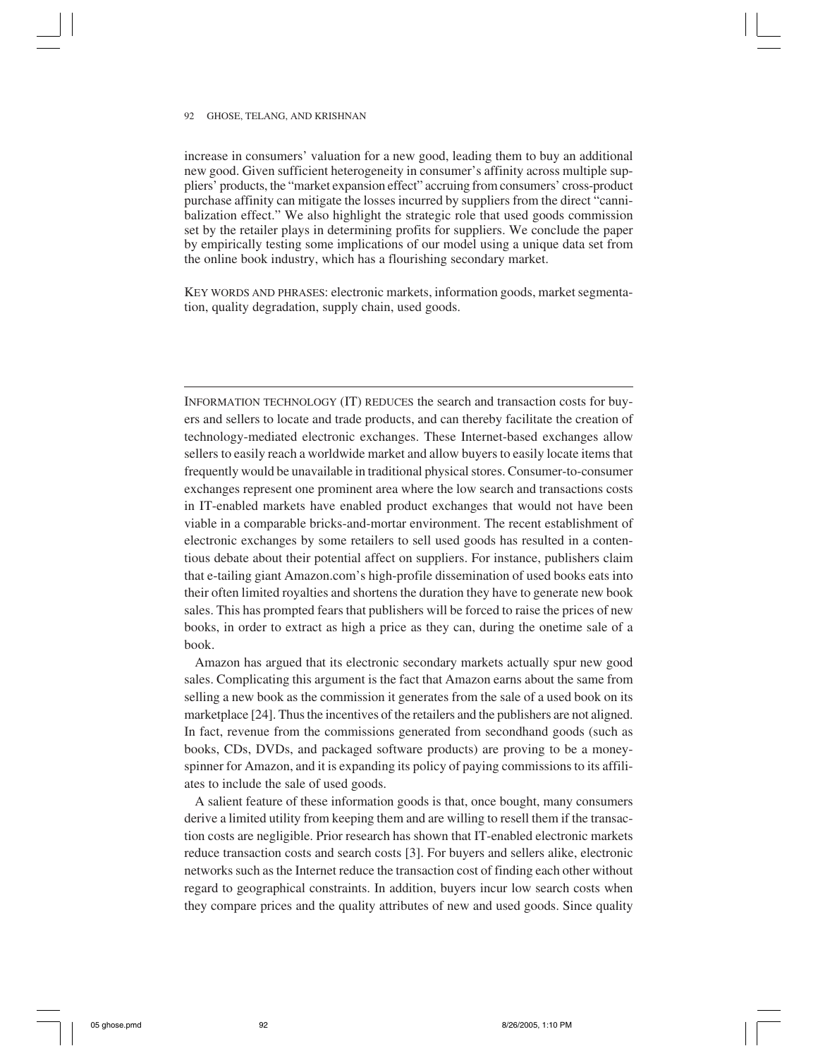increase in consumers' valuation for a new good, leading them to buy an additional new good. Given sufficient heterogeneity in consumer's affinity across multiple suppliers' products, the "market expansion effect" accruing from consumers' cross-product purchase affinity can mitigate the losses incurred by suppliers from the direct "cannibalization effect." We also highlight the strategic role that used goods commission set by the retailer plays in determining profits for suppliers. We conclude the paper by empirically testing some implications of our model using a unique data set from the online book industry, which has a flourishing secondary market.

KEY WORDS AND PHRASES: electronic markets, information goods, market segmentation, quality degradation, supply chain, used goods.

INFORMATION TECHNOLOGY (IT) REDUCES the search and transaction costs for buyers and sellers to locate and trade products, and can thereby facilitate the creation of technology-mediated electronic exchanges. These Internet-based exchanges allow sellers to easily reach a worldwide market and allow buyers to easily locate items that frequently would be unavailable in traditional physical stores. Consumer-to-consumer exchanges represent one prominent area where the low search and transactions costs in IT-enabled markets have enabled product exchanges that would not have been viable in a comparable bricks-and-mortar environment. The recent establishment of electronic exchanges by some retailers to sell used goods has resulted in a contentious debate about their potential affect on suppliers. For instance, publishers claim that e-tailing giant Amazon.com's high-profile dissemination of used books eats into their often limited royalties and shortens the duration they have to generate new book sales. This has prompted fears that publishers will be forced to raise the prices of new books, in order to extract as high a price as they can, during the onetime sale of a book.

Amazon has argued that its electronic secondary markets actually spur new good sales. Complicating this argument is the fact that Amazon earns about the same from selling a new book as the commission it generates from the sale of a used book on its marketplace [24]. Thus the incentives of the retailers and the publishers are not aligned. In fact, revenue from the commissions generated from secondhand goods (such as books, CDs, DVDs, and packaged software products) are proving to be a moneyspinner for Amazon, and it is expanding its policy of paying commissions to its affiliates to include the sale of used goods.

A salient feature of these information goods is that, once bought, many consumers derive a limited utility from keeping them and are willing to resell them if the transaction costs are negligible. Prior research has shown that IT-enabled electronic markets reduce transaction costs and search costs [3]. For buyers and sellers alike, electronic networks such as the Internet reduce the transaction cost of finding each other without regard to geographical constraints. In addition, buyers incur low search costs when they compare prices and the quality attributes of new and used goods. Since quality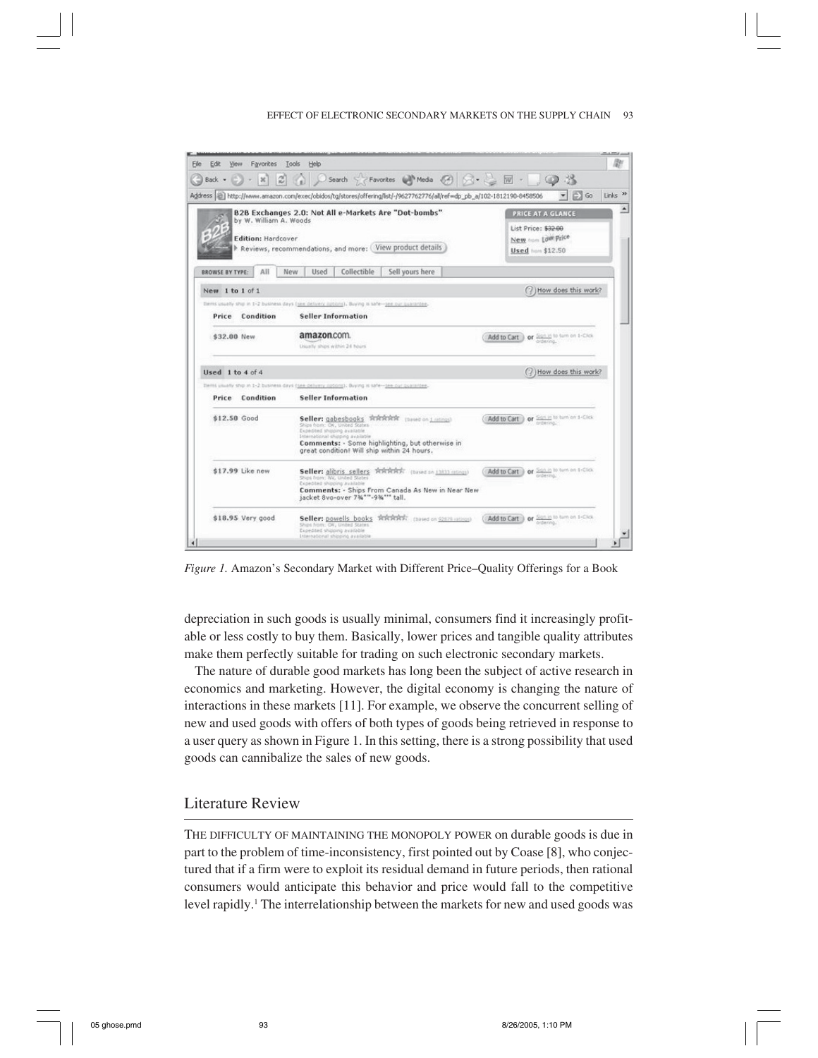#### EFFECT OF ELECTRONIC SECONDARY MARKETS ON THE SUPPLY CHAIN 93



*Figure 1.* Amazon's Secondary Market with Different Price–Quality Offerings for a Book

depreciation in such goods is usually minimal, consumers find it increasingly profitable or less costly to buy them. Basically, lower prices and tangible quality attributes make them perfectly suitable for trading on such electronic secondary markets.

The nature of durable good markets has long been the subject of active research in economics and marketing. However, the digital economy is changing the nature of interactions in these markets [11]. For example, we observe the concurrent selling of new and used goods with offers of both types of goods being retrieved in response to a user query as shown in Figure 1. In this setting, there is a strong possibility that used goods can cannibalize the sales of new goods.

## Literature Review

THE DIFFICULTY OF MAINTAINING THE MONOPOLY POWER on durable goods is due in part to the problem of time-inconsistency, first pointed out by Coase [8], who conjectured that if a firm were to exploit its residual demand in future periods, then rational consumers would anticipate this behavior and price would fall to the competitive level rapidly.<sup>1</sup> The interrelationship between the markets for new and used goods was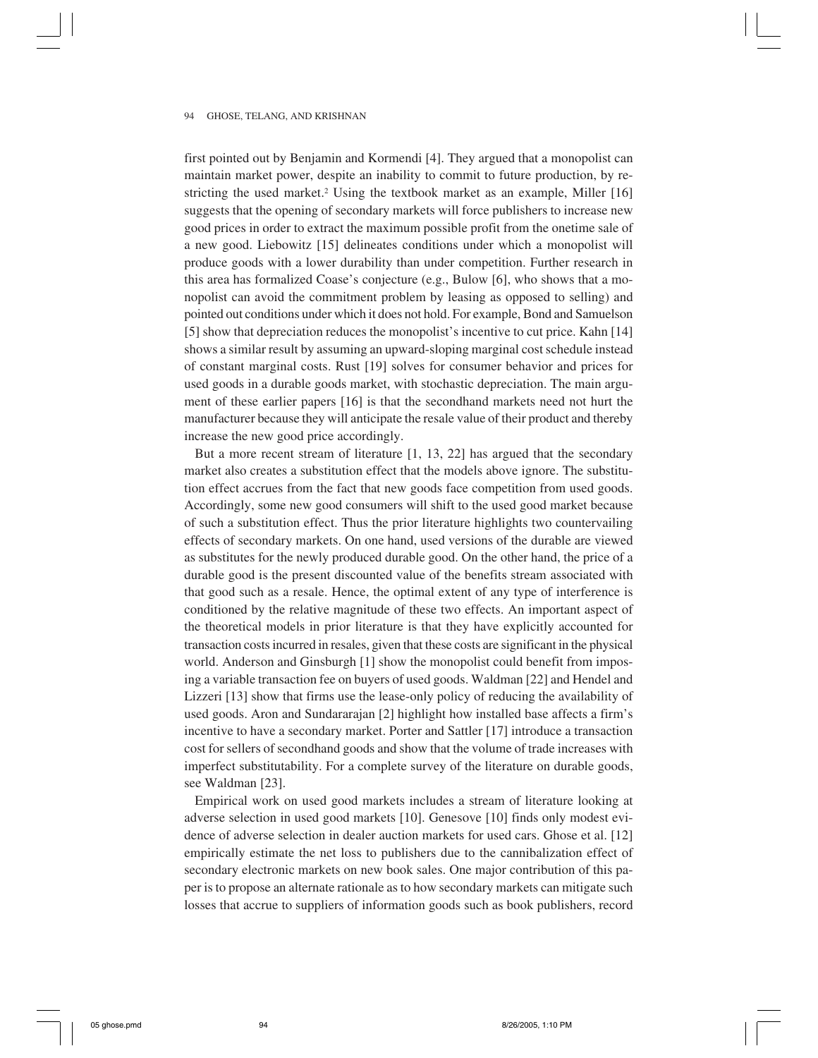first pointed out by Benjamin and Kormendi [4]. They argued that a monopolist can maintain market power, despite an inability to commit to future production, by restricting the used market.<sup>2</sup> Using the textbook market as an example, Miller [16] suggests that the opening of secondary markets will force publishers to increase new good prices in order to extract the maximum possible profit from the onetime sale of a new good. Liebowitz [15] delineates conditions under which a monopolist will produce goods with a lower durability than under competition. Further research in this area has formalized Coase's conjecture (e.g., Bulow [6], who shows that a monopolist can avoid the commitment problem by leasing as opposed to selling) and pointed out conditions under which it does not hold. For example, Bond and Samuelson [5] show that depreciation reduces the monopolist's incentive to cut price. Kahn [14] shows a similar result by assuming an upward-sloping marginal cost schedule instead of constant marginal costs. Rust [19] solves for consumer behavior and prices for used goods in a durable goods market, with stochastic depreciation. The main argument of these earlier papers [16] is that the secondhand markets need not hurt the manufacturer because they will anticipate the resale value of their product and thereby increase the new good price accordingly.

But a more recent stream of literature [1, 13, 22] has argued that the secondary market also creates a substitution effect that the models above ignore. The substitution effect accrues from the fact that new goods face competition from used goods. Accordingly, some new good consumers will shift to the used good market because of such a substitution effect. Thus the prior literature highlights two countervailing effects of secondary markets. On one hand, used versions of the durable are viewed as substitutes for the newly produced durable good. On the other hand, the price of a durable good is the present discounted value of the benefits stream associated with that good such as a resale. Hence, the optimal extent of any type of interference is conditioned by the relative magnitude of these two effects. An important aspect of the theoretical models in prior literature is that they have explicitly accounted for transaction costs incurred in resales, given that these costs are significant in the physical world. Anderson and Ginsburgh [1] show the monopolist could benefit from imposing a variable transaction fee on buyers of used goods. Waldman [22] and Hendel and Lizzeri [13] show that firms use the lease-only policy of reducing the availability of used goods. Aron and Sundararajan [2] highlight how installed base affects a firm's incentive to have a secondary market. Porter and Sattler [17] introduce a transaction cost for sellers of secondhand goods and show that the volume of trade increases with imperfect substitutability. For a complete survey of the literature on durable goods, see Waldman [23].

Empirical work on used good markets includes a stream of literature looking at adverse selection in used good markets [10]. Genesove [10] finds only modest evidence of adverse selection in dealer auction markets for used cars. Ghose et al. [12] empirically estimate the net loss to publishers due to the cannibalization effect of secondary electronic markets on new book sales. One major contribution of this paper is to propose an alternate rationale as to how secondary markets can mitigate such losses that accrue to suppliers of information goods such as book publishers, record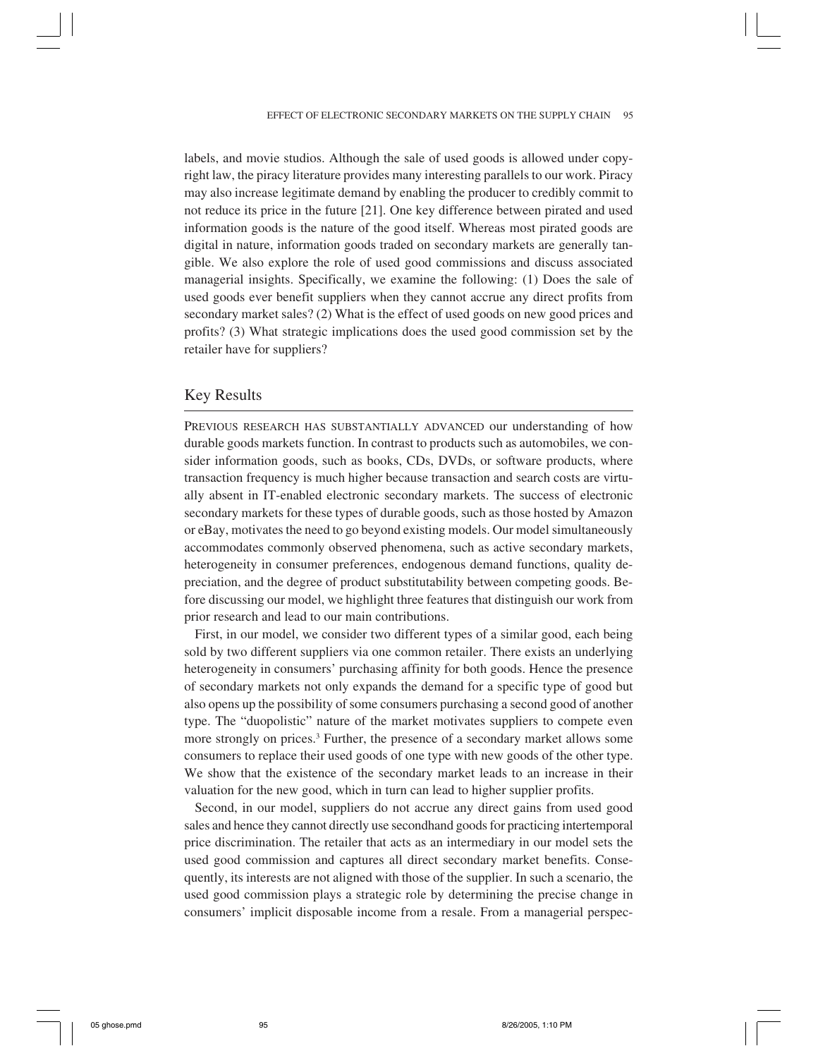labels, and movie studios. Although the sale of used goods is allowed under copyright law, the piracy literature provides many interesting parallels to our work. Piracy may also increase legitimate demand by enabling the producer to credibly commit to not reduce its price in the future [21]. One key difference between pirated and used information goods is the nature of the good itself. Whereas most pirated goods are digital in nature, information goods traded on secondary markets are generally tangible. We also explore the role of used good commissions and discuss associated managerial insights. Specifically, we examine the following: (1) Does the sale of used goods ever benefit suppliers when they cannot accrue any direct profits from secondary market sales? (2) What is the effect of used goods on new good prices and profits? (3) What strategic implications does the used good commission set by the retailer have for suppliers?

## Key Results

PREVIOUS RESEARCH HAS SUBSTANTIALLY ADVANCED our understanding of how durable goods markets function. In contrast to products such as automobiles, we consider information goods, such as books, CDs, DVDs, or software products, where transaction frequency is much higher because transaction and search costs are virtually absent in IT-enabled electronic secondary markets. The success of electronic secondary markets for these types of durable goods, such as those hosted by Amazon or eBay, motivates the need to go beyond existing models. Our model simultaneously accommodates commonly observed phenomena, such as active secondary markets, heterogeneity in consumer preferences, endogenous demand functions, quality depreciation, and the degree of product substitutability between competing goods. Before discussing our model, we highlight three features that distinguish our work from prior research and lead to our main contributions.

First, in our model, we consider two different types of a similar good, each being sold by two different suppliers via one common retailer. There exists an underlying heterogeneity in consumers' purchasing affinity for both goods. Hence the presence of secondary markets not only expands the demand for a specific type of good but also opens up the possibility of some consumers purchasing a second good of another type. The "duopolistic" nature of the market motivates suppliers to compete even more strongly on prices.<sup>3</sup> Further, the presence of a secondary market allows some consumers to replace their used goods of one type with new goods of the other type. We show that the existence of the secondary market leads to an increase in their valuation for the new good, which in turn can lead to higher supplier profits.

Second, in our model, suppliers do not accrue any direct gains from used good sales and hence they cannot directly use secondhand goods for practicing intertemporal price discrimination. The retailer that acts as an intermediary in our model sets the used good commission and captures all direct secondary market benefits. Consequently, its interests are not aligned with those of the supplier. In such a scenario, the used good commission plays a strategic role by determining the precise change in consumers' implicit disposable income from a resale. From a managerial perspec-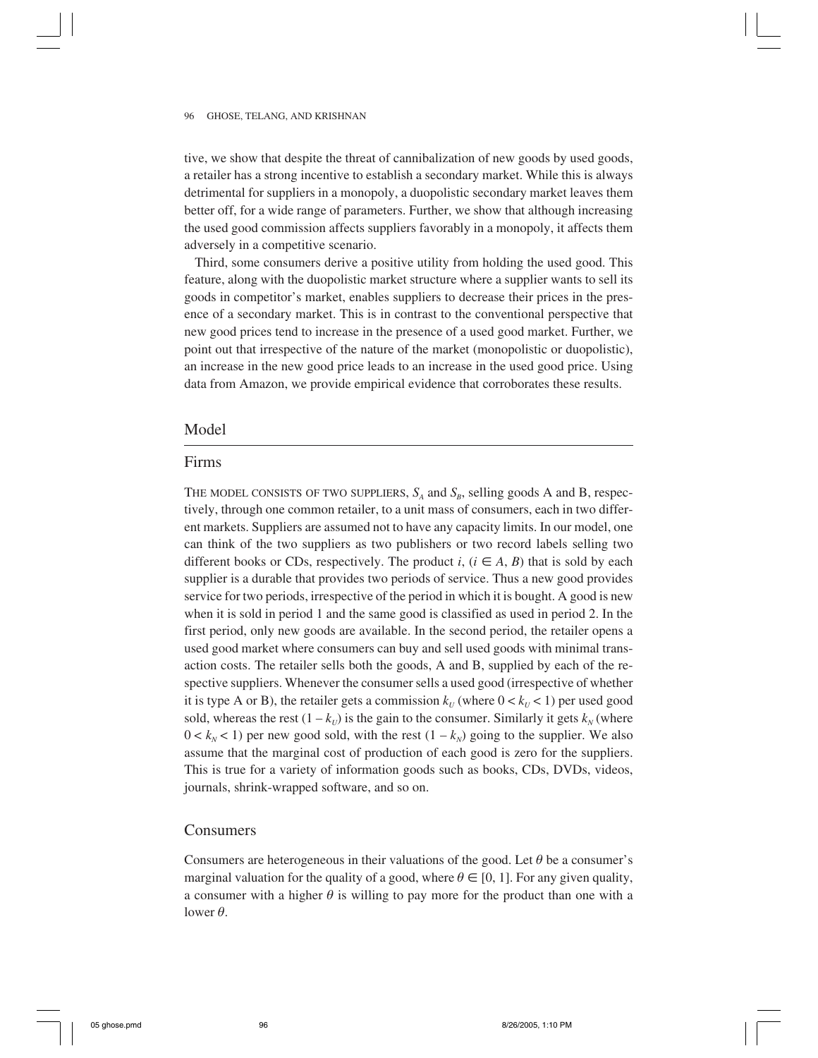tive, we show that despite the threat of cannibalization of new goods by used goods, a retailer has a strong incentive to establish a secondary market. While this is always detrimental for suppliers in a monopoly, a duopolistic secondary market leaves them better off, for a wide range of parameters. Further, we show that although increasing the used good commission affects suppliers favorably in a monopoly, it affects them adversely in a competitive scenario.

Third, some consumers derive a positive utility from holding the used good. This feature, along with the duopolistic market structure where a supplier wants to sell its goods in competitor's market, enables suppliers to decrease their prices in the presence of a secondary market. This is in contrast to the conventional perspective that new good prices tend to increase in the presence of a used good market. Further, we point out that irrespective of the nature of the market (monopolistic or duopolistic), an increase in the new good price leads to an increase in the used good price. Using data from Amazon, we provide empirical evidence that corroborates these results.

## Model

## Firms

THE MODEL CONSISTS OF TWO SUPPLIERS,  $S_A$  and  $S_B$ , selling goods A and B, respectively, through one common retailer, to a unit mass of consumers, each in two different markets. Suppliers are assumed not to have any capacity limits. In our model, one can think of the two suppliers as two publishers or two record labels selling two different books or CDs, respectively. The product *i*,  $(i \in A, B)$  that is sold by each supplier is a durable that provides two periods of service. Thus a new good provides service for two periods, irrespective of the period in which it is bought. A good is new when it is sold in period 1 and the same good is classified as used in period 2. In the first period, only new goods are available. In the second period, the retailer opens a used good market where consumers can buy and sell used goods with minimal transaction costs. The retailer sells both the goods, A and B, supplied by each of the respective suppliers. Whenever the consumer sells a used good (irrespective of whether it is type A or B), the retailer gets a commission  $k_U$  (where  $0 < k_U < 1$ ) per used good sold, whereas the rest  $(1 - k_U)$  is the gain to the consumer. Similarly it gets  $k_N$  (where  $0 < k_N < 1$ ) per new good sold, with the rest  $(1 - k_N)$  going to the supplier. We also assume that the marginal cost of production of each good is zero for the suppliers. This is true for a variety of information goods such as books, CDs, DVDs, videos, journals, shrink-wrapped software, and so on.

## Consumers

Consumers are heterogeneous in their valuations of the good. Let  $\theta$  be a consumer's marginal valuation for the quality of a good, where  $\theta \in [0, 1]$ . For any given quality, a consumer with a higher  $\theta$  is willing to pay more for the product than one with a lower  $\theta$ .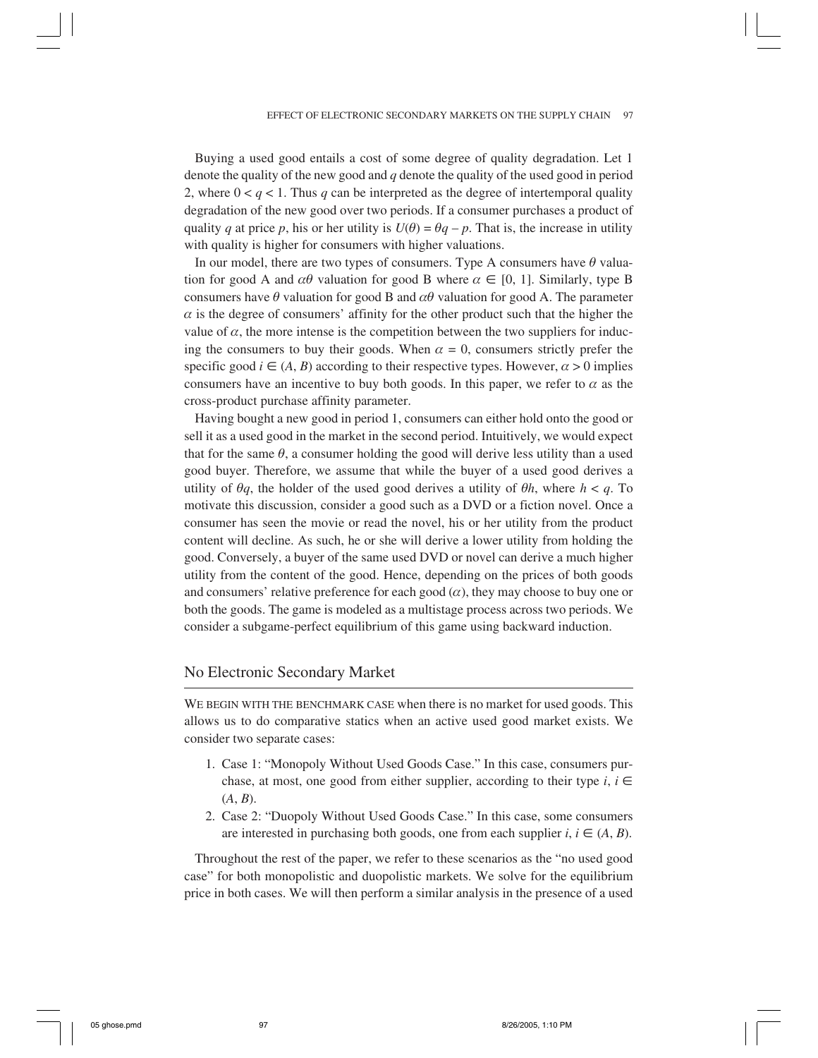Buying a used good entails a cost of some degree of quality degradation. Let 1 denote the quality of the new good and *q* denote the quality of the used good in period 2, where  $0 < q < 1$ . Thus q can be interpreted as the degree of intertemporal quality degradation of the new good over two periods. If a consumer purchases a product of quality *q* at price *p*, his or her utility is  $U(\theta) = \theta q - p$ . That is, the increase in utility with quality is higher for consumers with higher valuations.

In our model, there are two types of consumers. Type A consumers have  $\theta$  valuation for good A and  $\alpha\theta$  valuation for good B where  $\alpha \in [0, 1]$ . Similarly, type B consumers have  $\theta$  valuation for good B and  $\alpha\theta$  valuation for good A. The parameter  $\alpha$  is the degree of consumers' affinity for the other product such that the higher the value of  $\alpha$ , the more intense is the competition between the two suppliers for inducing the consumers to buy their goods. When  $\alpha = 0$ , consumers strictly prefer the specific good  $i \in (A, B)$  according to their respective types. However,  $\alpha > 0$  implies consumers have an incentive to buy both goods. In this paper, we refer to  $\alpha$  as the cross-product purchase affinity parameter.

Having bought a new good in period 1, consumers can either hold onto the good or sell it as a used good in the market in the second period. Intuitively, we would expect that for the same  $\theta$ , a consumer holding the good will derive less utility than a used good buyer. Therefore, we assume that while the buyer of a used good derives a utility of  $\theta q$ , the holder of the used good derives a utility of  $\theta h$ , where  $h < q$ . To motivate this discussion, consider a good such as a DVD or a fiction novel. Once a consumer has seen the movie or read the novel, his or her utility from the product content will decline. As such, he or she will derive a lower utility from holding the good. Conversely, a buyer of the same used DVD or novel can derive a much higher utility from the content of the good. Hence, depending on the prices of both goods and consumers' relative preference for each good  $(\alpha)$ , they may choose to buy one or both the goods. The game is modeled as a multistage process across two periods. We consider a subgame-perfect equilibrium of this game using backward induction.

## No Electronic Secondary Market

WE BEGIN WITH THE BENCHMARK CASE when there is no market for used goods. This allows us to do comparative statics when an active used good market exists. We consider two separate cases:

- 1. Case 1: "Monopoly Without Used Goods Case." In this case, consumers purchase, at most, one good from either supplier, according to their type *i*,  $i \in$ (*A*, *B*).
- 2. Case 2: "Duopoly Without Used Goods Case." In this case, some consumers are interested in purchasing both goods, one from each supplier  $i, i \in (A, B)$ .

Throughout the rest of the paper, we refer to these scenarios as the "no used good case" for both monopolistic and duopolistic markets. We solve for the equilibrium price in both cases. We will then perform a similar analysis in the presence of a used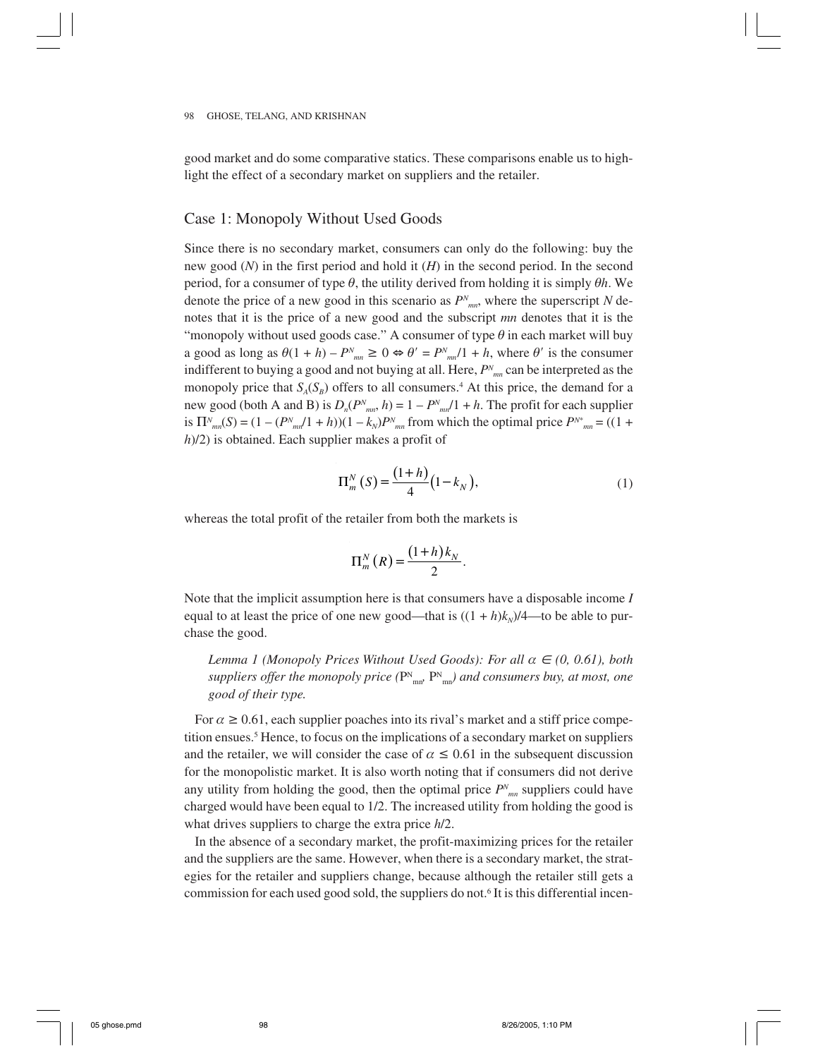good market and do some comparative statics. These comparisons enable us to highlight the effect of a secondary market on suppliers and the retailer.

## Case 1: Monopoly Without Used Goods

Since there is no secondary market, consumers can only do the following: buy the new good (*N*) in the first period and hold it (*H*) in the second period. In the second period, for a consumer of type  $\theta$ , the utility derived from holding it is simply  $\theta h$ . We denote the price of a new good in this scenario as  $P<sup>N</sup>_{mn}$ , where the superscript *N* denotes that it is the price of a new good and the subscript *mn* denotes that it is the "monopoly without used goods case." A consumer of type  $\theta$  in each market will buy a good as long as  $\theta(1 + h) - P_{mn}^N \ge 0 \Leftrightarrow \theta' = P_{mn}^N/1 + h$ , where  $\theta'$  is the consumer indifferent to buying a good and not buying at all. Here, *PN mn* can be interpreted as the monopoly price that  $S_A(S_B)$  offers to all consumers.<sup>4</sup> At this price, the demand for a new good (both A and B) is  $D_n(P^N)_{mn}$ ,  $h$ ) = 1 –  $P^N$ <sub>mn</sub> $/1 + h$ . The profit for each supplier is  $\Pi_{mn}^N(S) = (1 - (P_{mn}^N/1 + h))(1 - k_N)P_{mn}^N$  from which the optimal price  $P_{mn}^* = ((1 +$ *h*)/2) is obtained. Each supplier makes a profit of

$$
\Pi_m^N(S) = \frac{(1+h)}{4} (1 - k_N),\tag{1}
$$

whereas the total profit of the retailer from both the markets is

$$
\Pi_{m}^{N}(R) = \frac{(1+h)k_{N}}{2}.
$$

Note that the implicit assumption here is that consumers have a disposable income *I* equal to at least the price of one new good—that is  $((1 + h)k<sub>N</sub>)/4$ —to be able to purchase the good.

*Lemma 1 (Monopoly Prices Without Used Goods): For all α* ∈ (0, 0.61), both suppliers offer the monopoly price ( $P_{mn}^N$ ,  $P_{mn}^N$ ) and consumers buy, at most, one *good of their type.*

For  $\alpha \geq 0.61$ , each supplier poaches into its rival's market and a stiff price competition ensues.<sup>5</sup> Hence, to focus on the implications of a secondary market on suppliers and the retailer, we will consider the case of  $\alpha \leq 0.61$  in the subsequent discussion for the monopolistic market. It is also worth noting that if consumers did not derive any utility from holding the good, then the optimal price  $P^N_{mn}$  suppliers could have charged would have been equal to 1/2. The increased utility from holding the good is what drives suppliers to charge the extra price *h*/2.

In the absence of a secondary market, the profit-maximizing prices for the retailer and the suppliers are the same. However, when there is a secondary market, the strategies for the retailer and suppliers change, because although the retailer still gets a commission for each used good sold, the suppliers do not.<sup>6</sup> It is this differential incen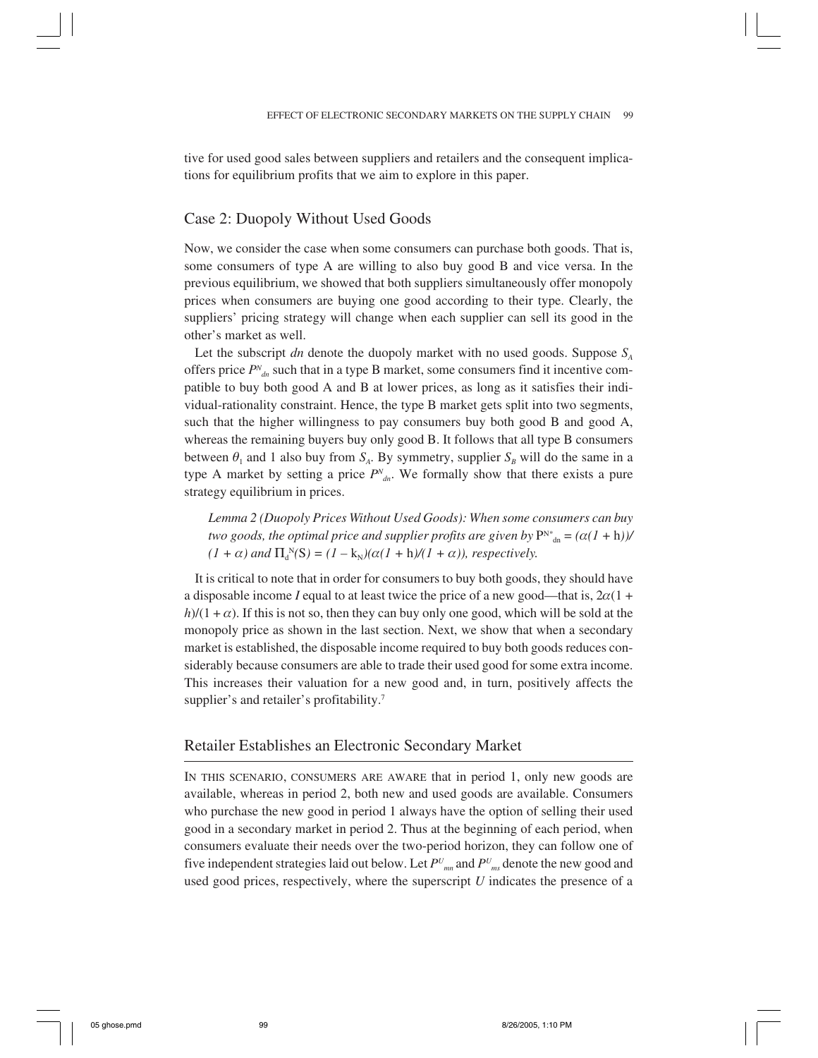tive for used good sales between suppliers and retailers and the consequent implications for equilibrium profits that we aim to explore in this paper.

## Case 2: Duopoly Without Used Goods

Now, we consider the case when some consumers can purchase both goods. That is, some consumers of type A are willing to also buy good B and vice versa. In the previous equilibrium, we showed that both suppliers simultaneously offer monopoly prices when consumers are buying one good according to their type. Clearly, the suppliers' pricing strategy will change when each supplier can sell its good in the other's market as well.

Let the subscript *dn* denote the duopoly market with no used goods. Suppose  $S<sub>A</sub>$ offers price  $P^N_{d_n}$  such that in a type B market, some consumers find it incentive compatible to buy both good A and B at lower prices, as long as it satisfies their individual-rationality constraint. Hence, the type B market gets split into two segments, such that the higher willingness to pay consumers buy both good B and good A, whereas the remaining buyers buy only good B. It follows that all type B consumers between  $\theta_1$  and 1 also buy from  $S_A$ . By symmetry, supplier  $S_B$  will do the same in a type A market by setting a price  $P^N_{d,n}$ . We formally show that there exists a pure strategy equilibrium in prices.

*Lemma 2 (Duopoly Prices Without Used Goods): When some consumers can buy two goods, the optimal price and supplier profits are given by*  $P^{N*}_{dn} = (\alpha(1 + h))/\alpha$  $(I + \alpha)$  and  $\Pi_d^N(S) = (I - k_N)(\alpha (I + h)/(I + \alpha))$ , respectively.

It is critical to note that in order for consumers to buy both goods, they should have a disposable income *I* equal to at least twice the price of a new good—that is,  $2\alpha(1 +$  $h/(1 + \alpha)$ . If this is not so, then they can buy only one good, which will be sold at the monopoly price as shown in the last section. Next, we show that when a secondary market is established, the disposable income required to buy both goods reduces considerably because consumers are able to trade their used good for some extra income. This increases their valuation for a new good and, in turn, positively affects the supplier's and retailer's profitability.<sup>7</sup>

## Retailer Establishes an Electronic Secondary Market

IN THIS SCENARIO, CONSUMERS ARE AWARE that in period 1, only new goods are available, whereas in period 2, both new and used goods are available. Consumers who purchase the new good in period 1 always have the option of selling their used good in a secondary market in period 2. Thus at the beginning of each period, when consumers evaluate their needs over the two-period horizon, they can follow one of five independent strategies laid out below. Let *PU mn* and *PU ms* denote the new good and used good prices, respectively, where the superscript *U* indicates the presence of a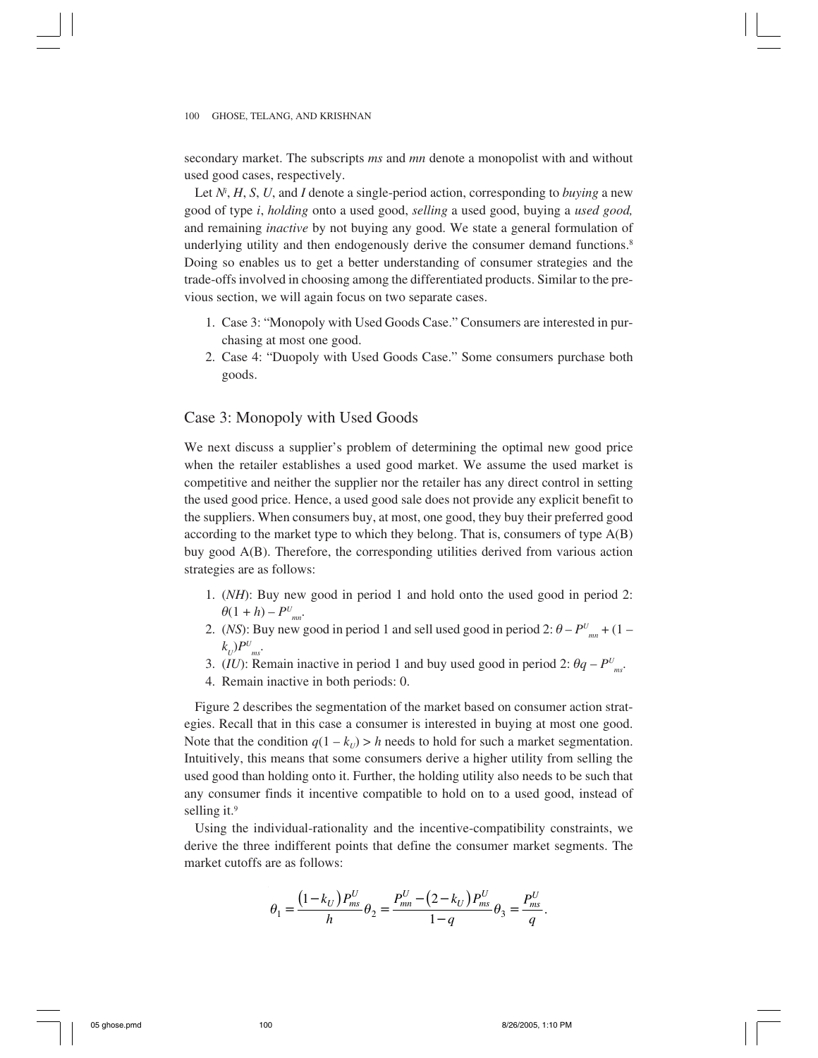secondary market. The subscripts *ms* and *mn* denote a monopolist with and without used good cases, respectively.

Let *Ni* , *H*, *S*, *U*, and *I* denote a single-period action, corresponding to *buying* a new good of type *i*, *holding* onto a used good, *selling* a used good, buying a *used good,* and remaining *inactive* by not buying any good. We state a general formulation of underlying utility and then endogenously derive the consumer demand functions.<sup>8</sup> Doing so enables us to get a better understanding of consumer strategies and the trade-offs involved in choosing among the differentiated products. Similar to the previous section, we will again focus on two separate cases.

- 1. Case 3: "Monopoly with Used Goods Case." Consumers are interested in purchasing at most one good.
- 2. Case 4: "Duopoly with Used Goods Case." Some consumers purchase both goods.

## Case 3: Monopoly with Used Goods

We next discuss a supplier's problem of determining the optimal new good price when the retailer establishes a used good market. We assume the used market is competitive and neither the supplier nor the retailer has any direct control in setting the used good price. Hence, a used good sale does not provide any explicit benefit to the suppliers. When consumers buy, at most, one good, they buy their preferred good according to the market type to which they belong. That is, consumers of type A(B) buy good A(B). Therefore, the corresponding utilities derived from various action strategies are as follows:

- 1. (*NH*): Buy new good in period 1 and hold onto the used good in period 2:  $\theta(1+h) - P^U_{mn}$
- 2. (*NS*): Buy new good in period 1 and sell used good in period 2:  $\theta P^U_{mn} + (1 P^U_{mn})$  $k_U$ ) $P^U_{ms}$ .
- 3. (*IU*): Remain inactive in period 1 and buy used good in period 2:  $\theta q P^U_{ms}$ .
- 4. Remain inactive in both periods: 0.

Figure 2 describes the segmentation of the market based on consumer action strategies. Recall that in this case a consumer is interested in buying at most one good. Note that the condition  $q(1 - k_U) > h$  needs to hold for such a market segmentation. Intuitively, this means that some consumers derive a higher utility from selling the used good than holding onto it. Further, the holding utility also needs to be such that any consumer finds it incentive compatible to hold on to a used good, instead of selling it.<sup>9</sup>

Using the individual-rationality and the incentive-compatibility constraints, we derive the three indifferent points that define the consumer market segments. The market cutoffs are as follows:

$$
\theta_1 = \frac{(1 - k_U) P_{ms}^U}{h} \theta_2 = \frac{P_{mn}^U - (2 - k_U) P_{ms}^U}{1 - q} \theta_3 = \frac{P_{ms}^U}{q}.
$$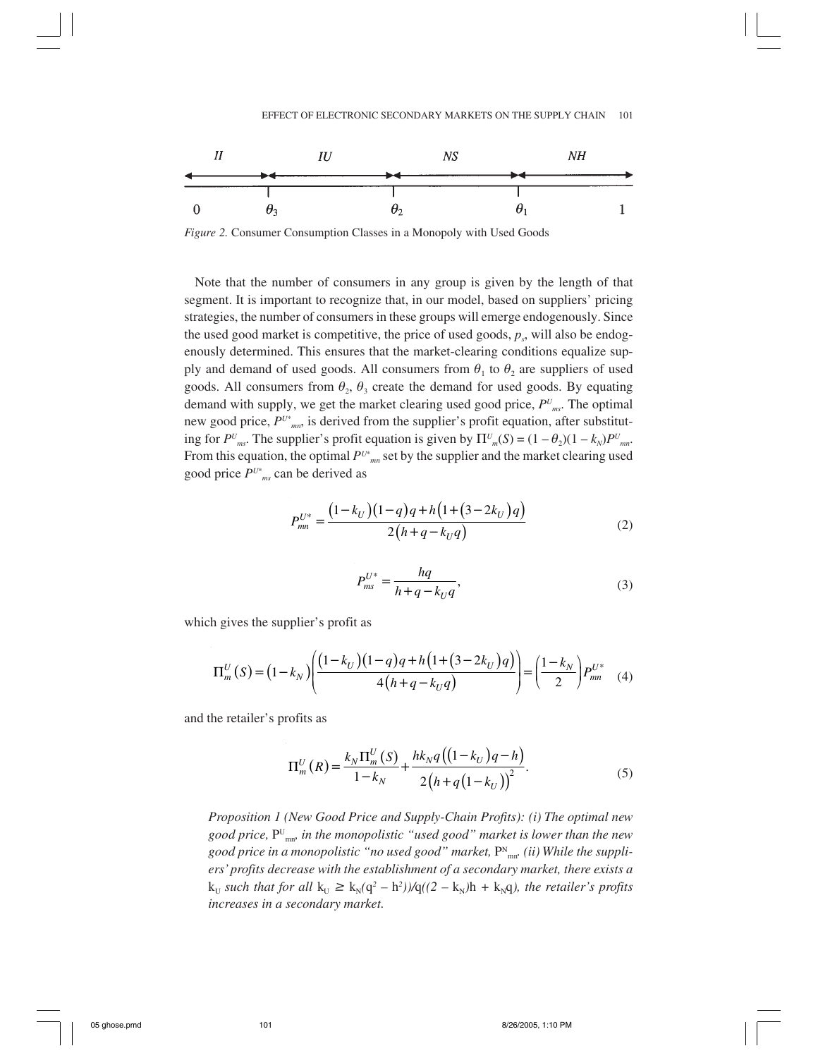

*Figure 2.* Consumer Consumption Classes in a Monopoly with Used Goods

Note that the number of consumers in any group is given by the length of that segment. It is important to recognize that, in our model, based on suppliers' pricing strategies, the number of consumers in these groups will emerge endogenously. Since the used good market is competitive, the price of used goods,  $p_s$ , will also be endogenously determined. This ensures that the market-clearing conditions equalize supply and demand of used goods. All consumers from  $\theta_1$  to  $\theta_2$  are suppliers of used goods. All consumers from  $\theta_2$ ,  $\theta_3$  create the demand for used goods. By equating demand with supply, we get the market clearing used good price, *PU ms*. The optimal new good price, *PU*\* *mn*, is derived from the supplier's profit equation, after substituting for  $P^{U}$ <sub>*ms*</sub>. The supplier's profit equation is given by  $\Pi^{U}$ <sub>*m*</sub>(*S*) =  $(1 - \theta_2)(1 - k_N)P^{U}$ <sub>*mn*</sub>. From this equation, the optimal  $P^{U^*}$ <sub>mn</sub> set by the supplier and the market clearing used good price *PU*\* *ms* can be derived as

$$
P_{mn}^{U^*} = \frac{\left(1 - k_U\right)\left(1 - q\right)q + h\left(1 + \left(3 - 2k_U\right)q\right)}{2\left(h + q - k_Uq\right)}\tag{2}
$$

$$
P_{ms}^{U^*} = \frac{hq}{h + q - k_U q},\tag{3}
$$

which gives the supplier's profit as

$$
\Pi_m^U(S) = (1 - k_N) \left( \frac{(1 - k_U)(1 - q)q + h\left(1 + (3 - 2k_U)q\right)}{4\left(h + q - k_Uq\right)} \right) = \left(\frac{1 - k_N}{2}\right) P_{mn}^{U^*} \tag{4}
$$

and the retailer's profits as

$$
\Pi_{m}^{U}(R) = \frac{k_{N}\Pi_{m}^{U}(S)}{1-k_{N}} + \frac{hk_{N}q((1-k_{U})q - h)}{2(h+q(1-k_{U}))^{2}}.
$$
\n(5)

*Proposition 1 (New Good Price and Supply-Chain Profits): (i) The optimal new good price,* PU mn*, in the monopolistic "used good" market is lower than the new* good price in a monopolistic "no used good" market,  $\mathrm{P^N}_{\mathrm{mn^*}}$  (ii) While the suppli*ers' profits decrease with the establishment of a secondary market, there exists a*  $k_U$  such that for all  $k_U \geq k_N(q^2 - h^2)/q((2 - k_N)h + k_Nq)$ , the retailer's profits *increases in a secondary market.*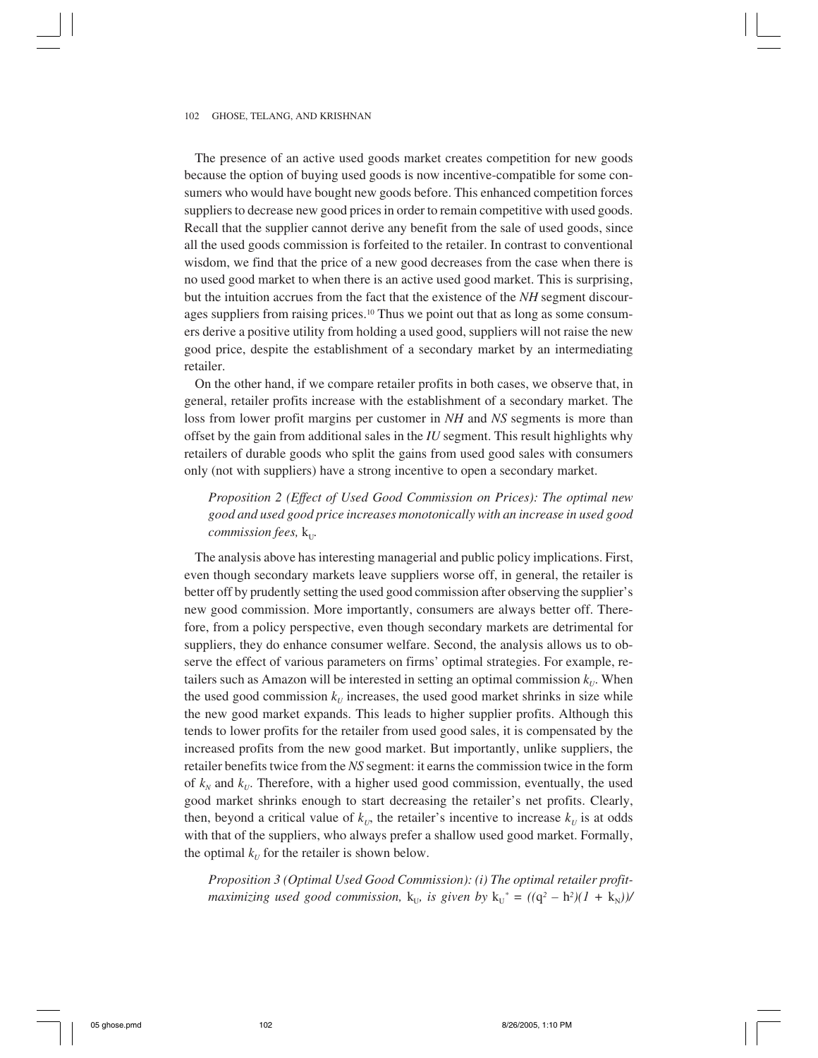The presence of an active used goods market creates competition for new goods because the option of buying used goods is now incentive-compatible for some consumers who would have bought new goods before. This enhanced competition forces suppliers to decrease new good prices in order to remain competitive with used goods. Recall that the supplier cannot derive any benefit from the sale of used goods, since all the used goods commission is forfeited to the retailer. In contrast to conventional wisdom, we find that the price of a new good decreases from the case when there is no used good market to when there is an active used good market. This is surprising, but the intuition accrues from the fact that the existence of the *NH* segment discourages suppliers from raising prices.<sup>10</sup> Thus we point out that as long as some consumers derive a positive utility from holding a used good, suppliers will not raise the new good price, despite the establishment of a secondary market by an intermediating retailer.

On the other hand, if we compare retailer profits in both cases, we observe that, in general, retailer profits increase with the establishment of a secondary market. The loss from lower profit margins per customer in *NH* and *NS* segments is more than offset by the gain from additional sales in the *IU* segment. This result highlights why retailers of durable goods who split the gains from used good sales with consumers only (not with suppliers) have a strong incentive to open a secondary market.

# *Proposition 2 (Effect of Used Good Commission on Prices): The optimal new good and used good price increases monotonically with an increase in used good commission fees,*  $k_{U}$ .

The analysis above has interesting managerial and public policy implications. First, even though secondary markets leave suppliers worse off, in general, the retailer is better off by prudently setting the used good commission after observing the supplier's new good commission. More importantly, consumers are always better off. Therefore, from a policy perspective, even though secondary markets are detrimental for suppliers, they do enhance consumer welfare. Second, the analysis allows us to observe the effect of various parameters on firms' optimal strategies. For example, retailers such as Amazon will be interested in setting an optimal commission  $k_U$ . When the used good commission  $k_U$  increases, the used good market shrinks in size while the new good market expands. This leads to higher supplier profits. Although this tends to lower profits for the retailer from used good sales, it is compensated by the increased profits from the new good market. But importantly, unlike suppliers, the retailer benefits twice from the *NS* segment: it earns the commission twice in the form of  $k_N$  and  $k_U$ . Therefore, with a higher used good commission, eventually, the used good market shrinks enough to start decreasing the retailer's net profits. Clearly, then, beyond a critical value of  $k_U$ , the retailer's incentive to increase  $k_U$  is at odds with that of the suppliers, who always prefer a shallow used good market. Formally, the optimal  $k_U$  for the retailer is shown below.

*Proposition 3 (Optimal Used Good Commission): (i) The optimal retailer profit* $maximizing used good commission, k<sub>U</sub>, is given by k<sub>U</sub><sup>*</sup> = ((q<sup>2</sup> – h<sup>2</sup>)(1 + k<sub>N</sub>))/$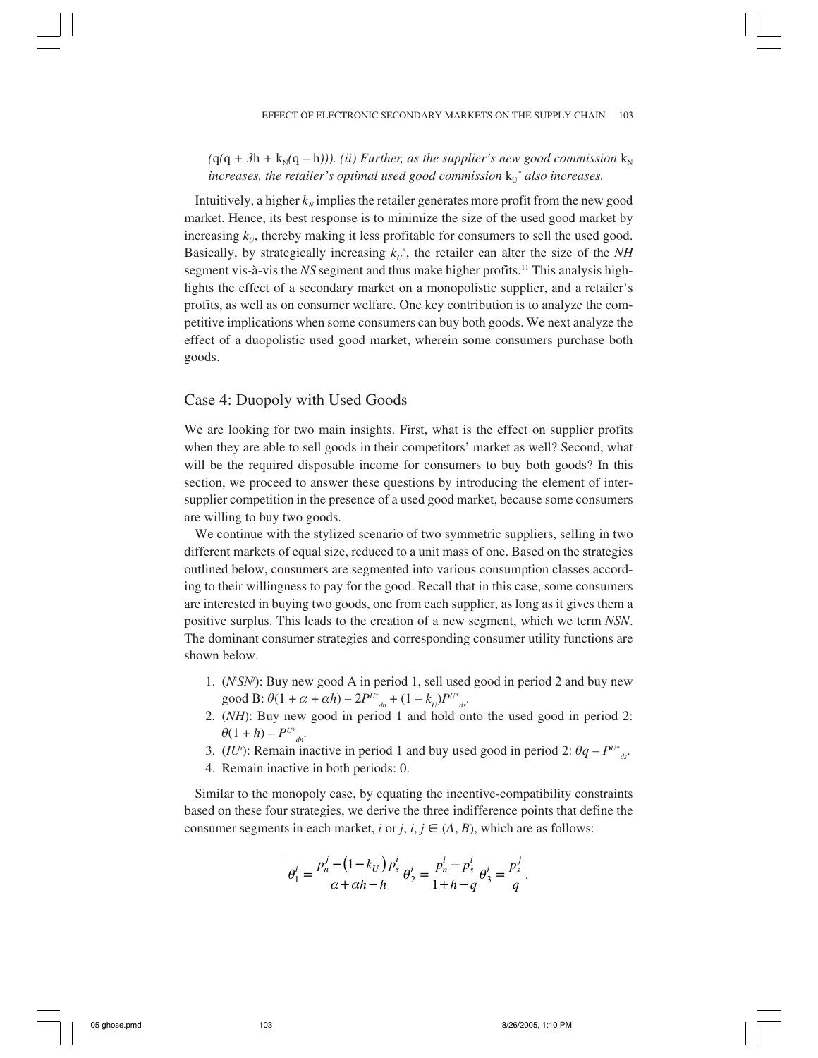$(q(q + 3h + k_y(q - h)))$ . *(ii) Further, as the supplier's new good commission*  $k_y$ increases, the retailer's optimal used good commission  $k_U^*$  also increases.

Intuitively, a higher  $k_N$  implies the retailer generates more profit from the new good market. Hence, its best response is to minimize the size of the used good market by increasing  $k_U$ , thereby making it less profitable for consumers to sell the used good. Basically, by strategically increasing  $k_U^*$ , the retailer can alter the size of the  $NH$ segment vis-à-vis the *NS* segment and thus make higher profits.11 This analysis highlights the effect of a secondary market on a monopolistic supplier, and a retailer's profits, as well as on consumer welfare. One key contribution is to analyze the competitive implications when some consumers can buy both goods. We next analyze the effect of a duopolistic used good market, wherein some consumers purchase both goods.

## Case 4: Duopoly with Used Goods

We are looking for two main insights. First, what is the effect on supplier profits when they are able to sell goods in their competitors' market as well? Second, what will be the required disposable income for consumers to buy both goods? In this section, we proceed to answer these questions by introducing the element of intersupplier competition in the presence of a used good market, because some consumers are willing to buy two goods.

We continue with the stylized scenario of two symmetric suppliers, selling in two different markets of equal size, reduced to a unit mass of one. Based on the strategies outlined below, consumers are segmented into various consumption classes according to their willingness to pay for the good. Recall that in this case, some consumers are interested in buying two goods, one from each supplier, as long as it gives them a positive surplus. This leads to the creation of a new segment, which we term *NSN*. The dominant consumer strategies and corresponding consumer utility functions are shown below.

- 1. (*Ni SNj* ): Buy new good A in period 1, sell used good in period 2 and buy new good B:  $\theta(1 + \alpha + \alpha h) - 2P^{U^*}{}_{d} + (1 - k_U)P^{U^*}{}_{d}$ .
- 2. (*NH*): Buy new good in period 1 and hold onto the used good in period 2:  $\theta(1+h) - P^{U^*}_{d}$
- 3. (*IU<sup>i</sup>*): Remain inactive in period 1 and buy used good in period 2:  $\theta q P^{U^*}_{dS}$ .
- 4. Remain inactive in both periods: 0.

Similar to the monopoly case, by equating the incentive-compatibility constraints based on these four strategies, we derive the three indifference points that define the consumer segments in each market, *i* or *j*,  $i, j \in (A, B)$ , which are as follows:

$$
\theta_1^i = \frac{p_n^j - (1 - k_U) p_s^i}{\alpha + \alpha h - h} \theta_2^i = \frac{p_n^i - p_s^i}{1 + h - q} \theta_3^i = \frac{p_s^i}{q}.
$$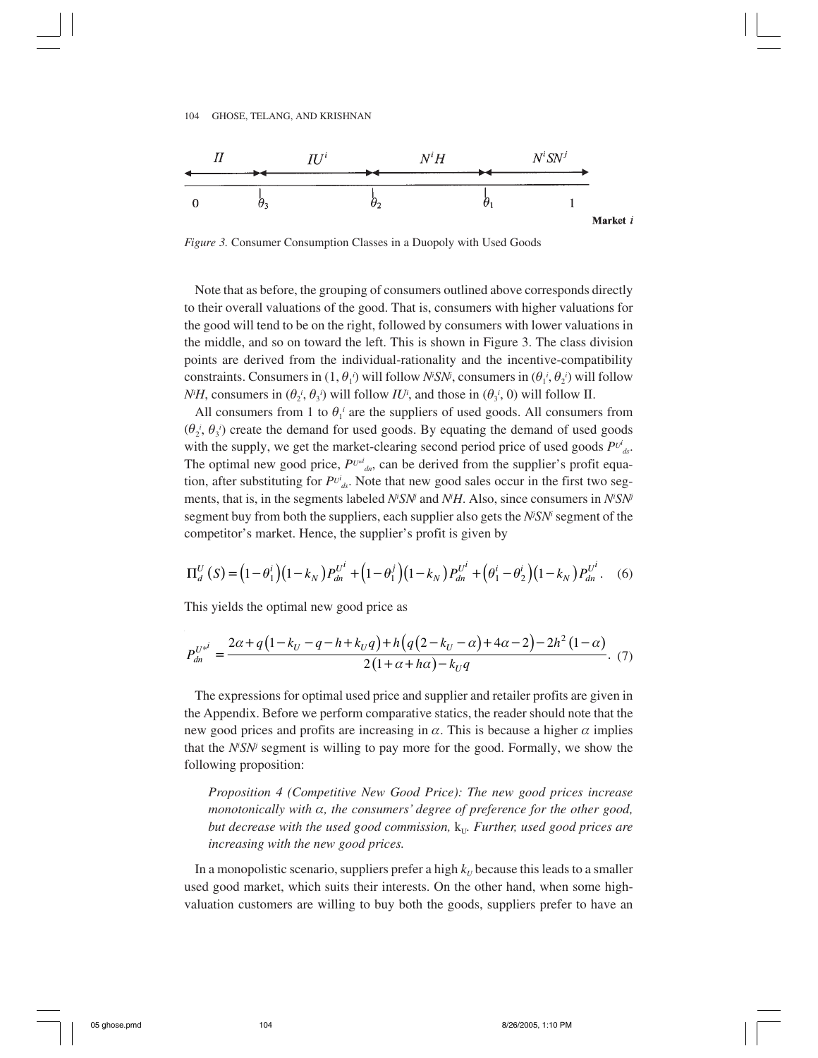

*Figure 3.* Consumer Consumption Classes in a Duopoly with Used Goods

Note that as before, the grouping of consumers outlined above corresponds directly to their overall valuations of the good. That is, consumers with higher valuations for the good will tend to be on the right, followed by consumers with lower valuations in the middle, and so on toward the left. This is shown in Figure 3. The class division points are derived from the individual-rationality and the incentive-compatibility constraints. Consumers in  $(1, \theta_1)$  will follow *N<sup>i</sup>SN<sup>j</sup>*, consumers in  $(\theta_1^i, \theta_2^i)$  will follow *N<sup>i</sup>H*, consumers in  $(\theta_2^i, \theta_3^i)$  will follow *IU<sup><i>i*</sup>, and those in  $(\theta_3^i, 0)$  will follow II.

All consumers from 1 to  $\theta_1$ <sup>*i*</sup> are the suppliers of used goods. All consumers from  $(\theta_2^i, \theta_3^i)$  create the demand for used goods. By equating the demand of used goods with the supply, we get the market-clearing second period price of used goods  $P^{U^i}_{dS}$ . The optimal new good price,  $P^{U^{*}}{}_{d}$ , can be derived from the supplier's profit equation, after substituting for  $P^{U^i}_{ds}$ . Note that new good sales occur in the first two segments, that is, in the segments labeled *N<sup>i</sup>SN<sup>j</sup>* and *N<sup>i</sup>H*. Also, since consumers in *N<sup>i</sup>SN<sup>j</sup>* segment buy from both the suppliers, each supplier also gets the *N<sup>j</sup>SN<sup>i</sup>* segment of the competitor's market. Hence, the supplier's profit is given by

$$
\Pi_d^U\left(S\right) = \left(1 - \theta_1^i\right)\left(1 - k_N\right)P_{dn}^{U^i} + \left(1 - \theta_1^i\right)\left(1 - k_N\right)P_{dn}^{U^i} + \left(\theta_1^i - \theta_2^i\right)\left(1 - k_N\right)P_{dn}^{U^i}.
$$
 (6)

This yields the optimal new good price as

$$
P_{dn}^{U^{*i}} = \frac{2\alpha + q\left(1 - k_U - q - h + k_U q\right) + h\left(q\left(2 - k_U - \alpha\right) + 4\alpha - 2\right) - 2h^2\left(1 - \alpha\right)}{2\left(1 + \alpha + h\alpha\right) - k_U q}.\tag{7}
$$

The expressions for optimal used price and supplier and retailer profits are given in the Appendix. Before we perform comparative statics, the reader should note that the new good prices and profits are increasing in  $\alpha$ . This is because a higher  $\alpha$  implies that the *N<sub>i</sub>SN<sub>i</sub>* segment is willing to pay more for the good. Formally, we show the following proposition:

*Proposition 4 (Competitive New Good Price): The new good prices increase monotonically with* α*, the consumers' degree of preference for the other good, but decrease with the used good commission,*  $k_{U}$ *. Further, used good prices are increasing with the new good prices.*

In a monopolistic scenario, suppliers prefer a high  $k_U$  because this leads to a smaller used good market, which suits their interests. On the other hand, when some highvaluation customers are willing to buy both the goods, suppliers prefer to have an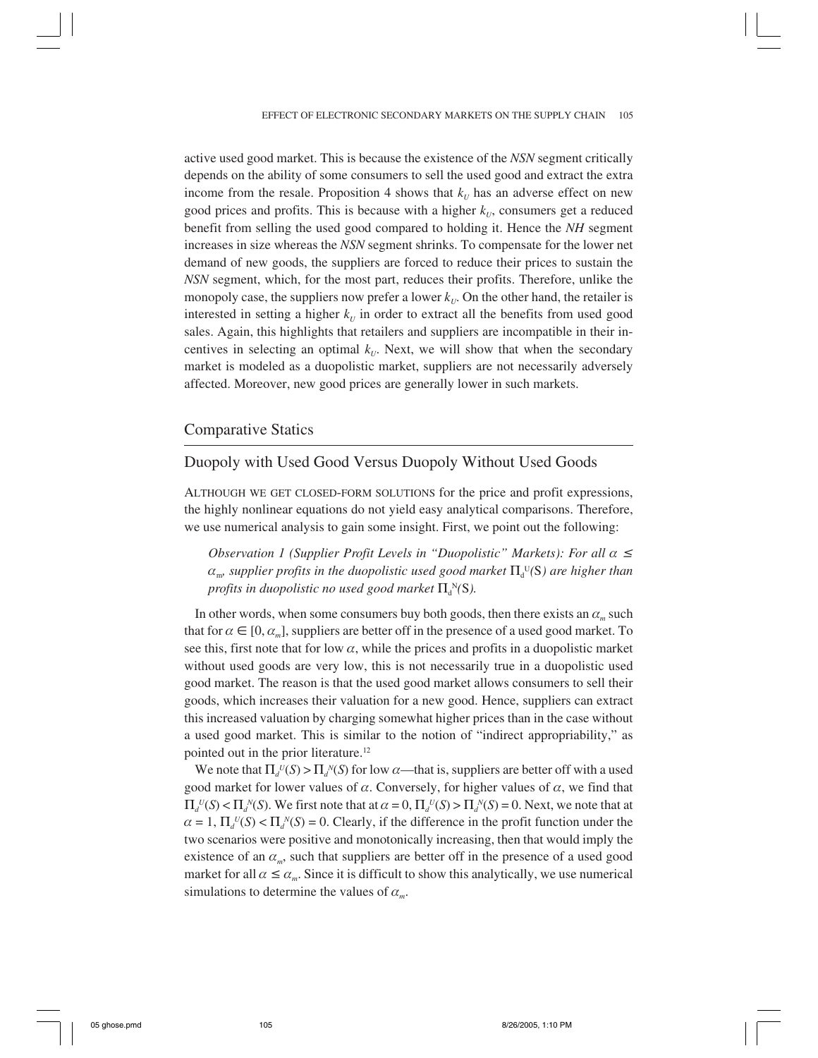active used good market. This is because the existence of the *NSN* segment critically depends on the ability of some consumers to sell the used good and extract the extra income from the resale. Proposition 4 shows that  $k_U$  has an adverse effect on new good prices and profits. This is because with a higher  $k_{U}$ , consumers get a reduced benefit from selling the used good compared to holding it. Hence the *NH* segment increases in size whereas the *NSN* segment shrinks. To compensate for the lower net demand of new goods, the suppliers are forced to reduce their prices to sustain the *NSN* segment, which, for the most part, reduces their profits. Therefore, unlike the monopoly case, the suppliers now prefer a lower  $k_U$ . On the other hand, the retailer is interested in setting a higher  $k_U$  in order to extract all the benefits from used good sales. Again, this highlights that retailers and suppliers are incompatible in their incentives in selecting an optimal  $k_U$ . Next, we will show that when the secondary market is modeled as a duopolistic market, suppliers are not necessarily adversely affected. Moreover, new good prices are generally lower in such markets.

## Comparative Statics

# Duopoly with Used Good Versus Duopoly Without Used Goods

ALTHOUGH WE GET CLOSED-FORM SOLUTIONS for the price and profit expressions, the highly nonlinear equations do not yield easy analytical comparisons. Therefore, we use numerical analysis to gain some insight. First, we point out the following:

*Observation 1 (Supplier Profit Levels in "Duopolistic" Markets): For all α* ≤  $\alpha_{_{\rm m}}$ , supplier profits in the duopolistic used good market  $\Pi_{\scriptscriptstyle \rm d}^{\;\rm \, U}$ (S) are higher than *profits in duopolistic no used good market* Π<sup>d</sup> <sup>N</sup>*(*S*).*

In other words, when some consumers buy both goods, then there exists an  $\alpha_m$  such that for  $\alpha \in [0, \alpha_m]$ , suppliers are better off in the presence of a used good market. To see this, first note that for low  $\alpha$ , while the prices and profits in a duopolistic market without used goods are very low, this is not necessarily true in a duopolistic used good market. The reason is that the used good market allows consumers to sell their goods, which increases their valuation for a new good. Hence, suppliers can extract this increased valuation by charging somewhat higher prices than in the case without a used good market. This is similar to the notion of "indirect appropriability," as pointed out in the prior literature.12

We note that  $\Pi_d^{\nu}(S) > \prod_d N(S)$  for low  $\alpha$ —that is, suppliers are better off with a used good market for lower values of  $\alpha$ . Conversely, for higher values of  $\alpha$ , we find that  $\Pi_d^{\ U}(S) < \Pi_d^{\ N}(S)$ . We first note that at  $\alpha = 0$ ,  $\Pi_d^{\ U}(S) > \Pi_d^{\ N}(S) = 0$ . Next, we note that at  $\alpha = 1$ ,  $\Pi_d^{\nu}(S) < \Pi_d^{\nu}(S) = 0$ . Clearly, if the difference in the profit function under the two scenarios were positive and monotonically increasing, then that would imply the existence of an  $\alpha_m$ , such that suppliers are better off in the presence of a used good market for all  $\alpha \le \alpha_m$ . Since it is difficult to show this analytically, we use numerical simulations to determine the values of α*m*.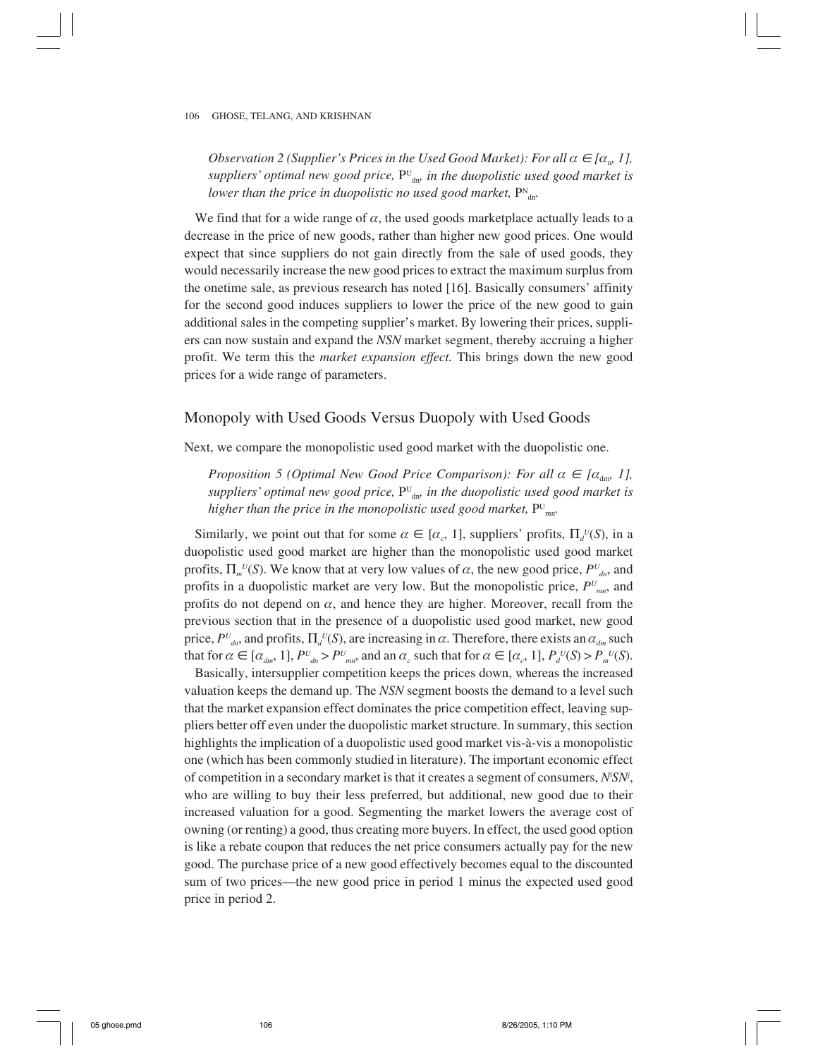*Observation 2 (Supplier's Prices in the Used Good Market): For all*  $\alpha \in [\alpha_{n}, 1]$ *, suppliers' optimal new good price,* PU dn*, in the duopolistic used good market is* lower than the price in duopolistic no used good market,  $P^{\text{N}}_{\text{dn}}$ .

We find that for a wide range of  $\alpha$ , the used goods marketplace actually leads to a decrease in the price of new goods, rather than higher new good prices. One would expect that since suppliers do not gain directly from the sale of used goods, they would necessarily increase the new good prices to extract the maximum surplus from the onetime sale, as previous research has noted [16]. Basically consumers' affinity for the second good induces suppliers to lower the price of the new good to gain additional sales in the competing supplier's market. By lowering their prices, suppliers can now sustain and expand the *NSN* market segment, thereby accruing a higher profit. We term this the *market expansion effect.* This brings down the new good prices for a wide range of parameters.

## Monopoly with Used Goods Versus Duopoly with Used Goods

Next, we compare the monopolistic used good market with the duopolistic one.

*Proposition 5 (Optimal New Good Price Comparison): For all*  $\alpha \in [\alpha_{\text{dm}}\ 1]$ *, suppliers' optimal new good price,* PU dn*, in the duopolistic used good market is* higher than the price in the monopolistic used good market,  $P^{\text{\tiny U}}{}_{\text{\tiny mm}}$ .

Similarly, we point out that for some  $\alpha \in [\alpha_{c}, 1]$ , suppliers' profits,  $\Pi_{d}(S)$ , in a duopolistic used good market are higher than the monopolistic used good market profits,  $\Pi_{m}^{U}(S)$ . We know that at very low values of  $\alpha$ , the new good price,  $P^{U}_{d}$ , and profits in a duopolistic market are very low. But the monopolistic price, *PU mn*, and profits do not depend on  $\alpha$ , and hence they are higher. Moreover, recall from the previous section that in the presence of a duopolistic used good market, new good price,  $P^{U}_{dn}$ , and profits,  $\Pi_d^{U}(S)$ , are increasing in  $\alpha$ . Therefore, there exists an  $\alpha_{dm}$  such that for  $\alpha \in [\alpha_{dm}, 1]$ ,  $P^U_{dn} > P^U_{mn}$ , and an  $\alpha_c$  such that for  $\alpha \in [\alpha_c, 1]$ ,  $P_d^U(S) > P_m^U(S)$ .

Basically, intersupplier competition keeps the prices down, whereas the increased valuation keeps the demand up. The *NSN* segment boosts the demand to a level such that the market expansion effect dominates the price competition effect, leaving suppliers better off even under the duopolistic market structure. In summary, this section highlights the implication of a duopolistic used good market vis-à-vis a monopolistic one (which has been commonly studied in literature). The important economic effect of competition in a secondary market is that it creates a segment of consumers, *Ni SNj* , who are willing to buy their less preferred, but additional, new good due to their increased valuation for a good. Segmenting the market lowers the average cost of owning (or renting) a good, thus creating more buyers. In effect, the used good option is like a rebate coupon that reduces the net price consumers actually pay for the new good. The purchase price of a new good effectively becomes equal to the discounted sum of two prices—the new good price in period 1 minus the expected used good price in period 2.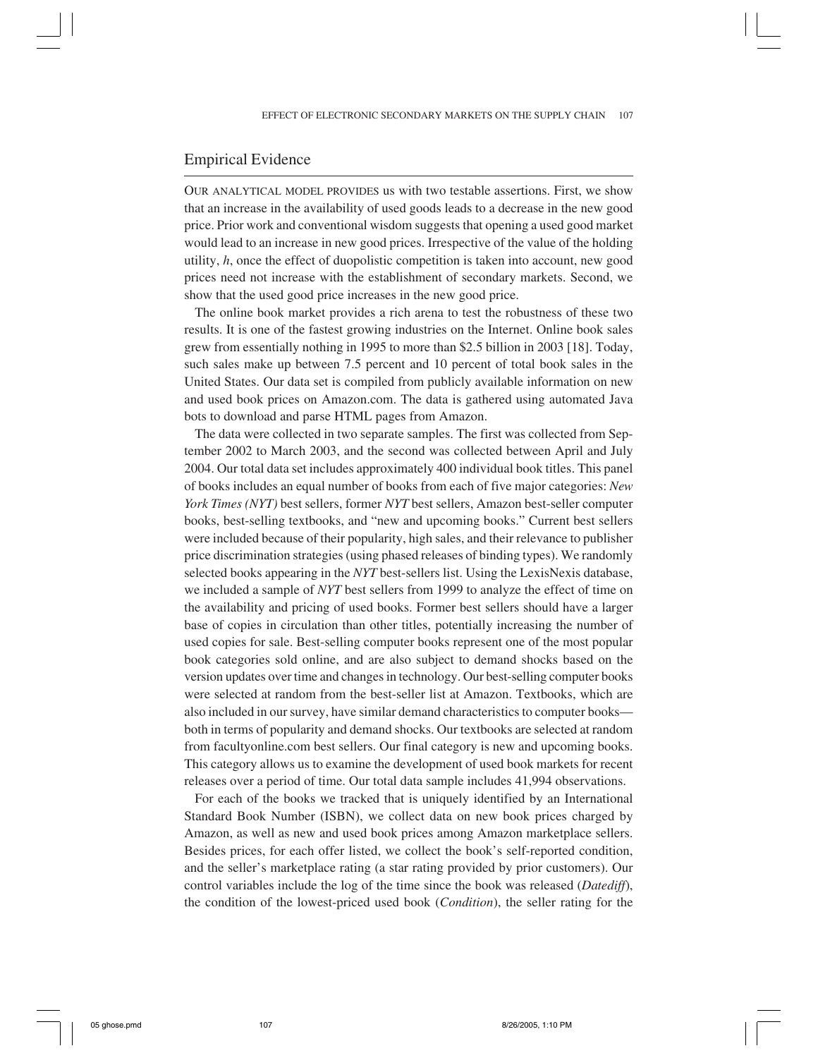## Empirical Evidence

OUR ANALYTICAL MODEL PROVIDES us with two testable assertions. First, we show that an increase in the availability of used goods leads to a decrease in the new good price. Prior work and conventional wisdom suggests that opening a used good market would lead to an increase in new good prices. Irrespective of the value of the holding utility, *h*, once the effect of duopolistic competition is taken into account, new good prices need not increase with the establishment of secondary markets. Second, we show that the used good price increases in the new good price.

The online book market provides a rich arena to test the robustness of these two results. It is one of the fastest growing industries on the Internet. Online book sales grew from essentially nothing in 1995 to more than \$2.5 billion in 2003 [18]. Today, such sales make up between 7.5 percent and 10 percent of total book sales in the United States. Our data set is compiled from publicly available information on new and used book prices on Amazon.com. The data is gathered using automated Java bots to download and parse HTML pages from Amazon.

The data were collected in two separate samples. The first was collected from September 2002 to March 2003, and the second was collected between April and July 2004. Our total data set includes approximately 400 individual book titles. This panel of books includes an equal number of books from each of five major categories: *New York Times (NYT)* best sellers, former *NYT* best sellers, Amazon best-seller computer books, best-selling textbooks, and "new and upcoming books." Current best sellers were included because of their popularity, high sales, and their relevance to publisher price discrimination strategies (using phased releases of binding types). We randomly selected books appearing in the *NYT* best-sellers list. Using the LexisNexis database, we included a sample of *NYT* best sellers from 1999 to analyze the effect of time on the availability and pricing of used books. Former best sellers should have a larger base of copies in circulation than other titles, potentially increasing the number of used copies for sale. Best-selling computer books represent one of the most popular book categories sold online, and are also subject to demand shocks based on the version updates over time and changes in technology. Our best-selling computer books were selected at random from the best-seller list at Amazon. Textbooks, which are also included in our survey, have similar demand characteristics to computer books both in terms of popularity and demand shocks. Our textbooks are selected at random from facultyonline.com best sellers. Our final category is new and upcoming books. This category allows us to examine the development of used book markets for recent releases over a period of time. Our total data sample includes 41,994 observations.

For each of the books we tracked that is uniquely identified by an International Standard Book Number (ISBN), we collect data on new book prices charged by Amazon, as well as new and used book prices among Amazon marketplace sellers. Besides prices, for each offer listed, we collect the book's self-reported condition, and the seller's marketplace rating (a star rating provided by prior customers). Our control variables include the log of the time since the book was released (*Datediff*), the condition of the lowest-priced used book (*Condition*), the seller rating for the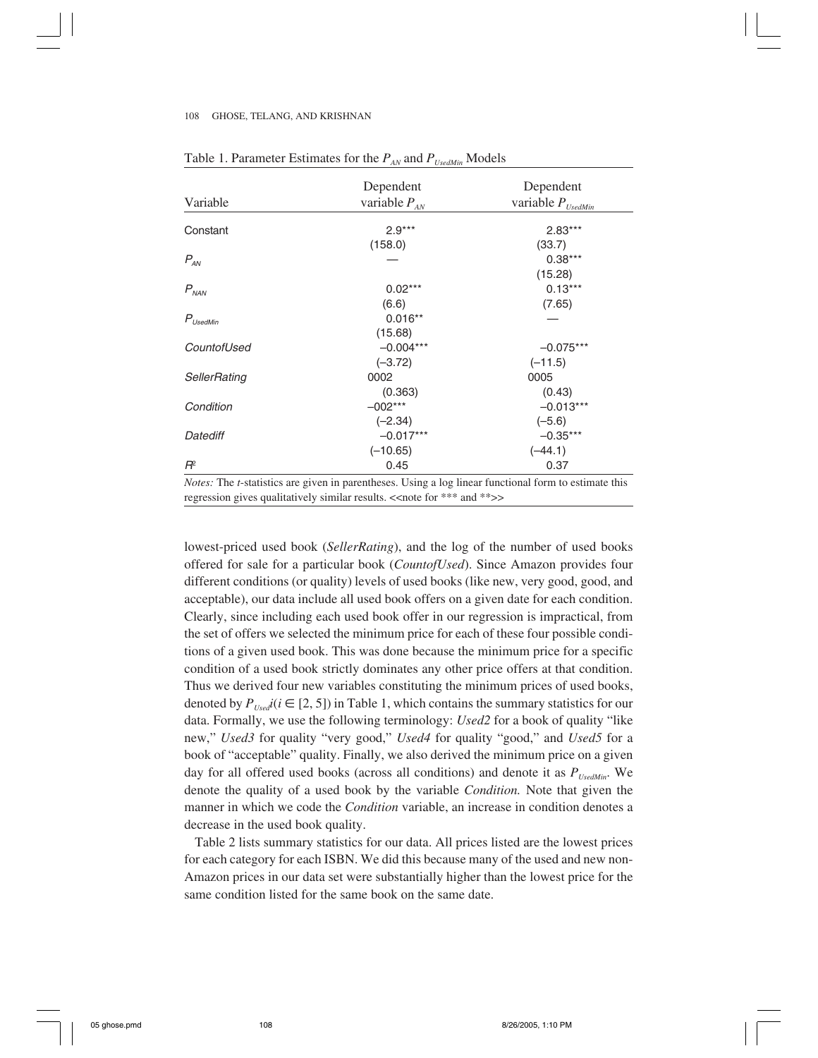|                      | Dependent                                                                                                            | Dependent<br>variable $P_{Use dMin}$ |  |
|----------------------|----------------------------------------------------------------------------------------------------------------------|--------------------------------------|--|
| Variable             | variable $P_{AN}$                                                                                                    |                                      |  |
| Constant             | $2.9***$                                                                                                             | $2.83***$                            |  |
|                      | (158.0)                                                                                                              | (33.7)                               |  |
| $P_{AN}$             |                                                                                                                      | $0.38***$                            |  |
|                      |                                                                                                                      | (15.28)                              |  |
| $P_{NAN}$            | $0.02***$                                                                                                            | $0.13***$                            |  |
|                      | (6.6)                                                                                                                | (7.65)                               |  |
| $P_{\text{UsedMin}}$ | $0.016**$                                                                                                            |                                      |  |
|                      | (15.68)                                                                                                              |                                      |  |
| CountofUsed          | $-0.004***$                                                                                                          | $-0.075***$                          |  |
|                      | $(-3.72)$                                                                                                            | $(-11.5)$                            |  |
| SellerRating         | 0002                                                                                                                 | 0005                                 |  |
|                      | (0.363)                                                                                                              | (0.43)                               |  |
| Condition            | $-002***$                                                                                                            | $-0.013***$                          |  |
|                      | $(-2.34)$                                                                                                            | $(-5.6)$                             |  |
| Datediff             | $-0.017***$                                                                                                          | $-0.35***$                           |  |
|                      | $(-10.65)$                                                                                                           | $(-44.1)$                            |  |
| $R^2$                | 0.45                                                                                                                 | 0.37                                 |  |
|                      | <i>Notes:</i> The <i>t</i> -statistics are given in parentheses. Using a log linear functional form to estimate this |                                      |  |

## Table 1. Parameter Estimates for the  $P_{AN}$  and  $P_{Use dMin}$  Models

regression gives qualitatively similar results.  $\langle$  < note for \*\*\* and \*\* >>

lowest-priced used book (*SellerRating*), and the log of the number of used books offered for sale for a particular book (*CountofUsed*). Since Amazon provides four different conditions (or quality) levels of used books (like new, very good, good, and acceptable), our data include all used book offers on a given date for each condition. Clearly, since including each used book offer in our regression is impractical, from the set of offers we selected the minimum price for each of these four possible conditions of a given used book. This was done because the minimum price for a specific condition of a used book strictly dominates any other price offers at that condition. Thus we derived four new variables constituting the minimum prices of used books, denoted by  $P_{Use}i(i \in [2, 5])$  in Table 1, which contains the summary statistics for our data. Formally, we use the following terminology: *Used2* for a book of quality "like new," *Used3* for quality "very good," *Used4* for quality "good," and *Used5* for a book of "acceptable" quality. Finally, we also derived the minimum price on a given day for all offered used books (across all conditions) and denote it as  $P_{UsedMin}$ . We denote the quality of a used book by the variable *Condition.* Note that given the manner in which we code the *Condition* variable, an increase in condition denotes a decrease in the used book quality.

Table 2 lists summary statistics for our data. All prices listed are the lowest prices for each category for each ISBN. We did this because many of the used and new non-Amazon prices in our data set were substantially higher than the lowest price for the same condition listed for the same book on the same date.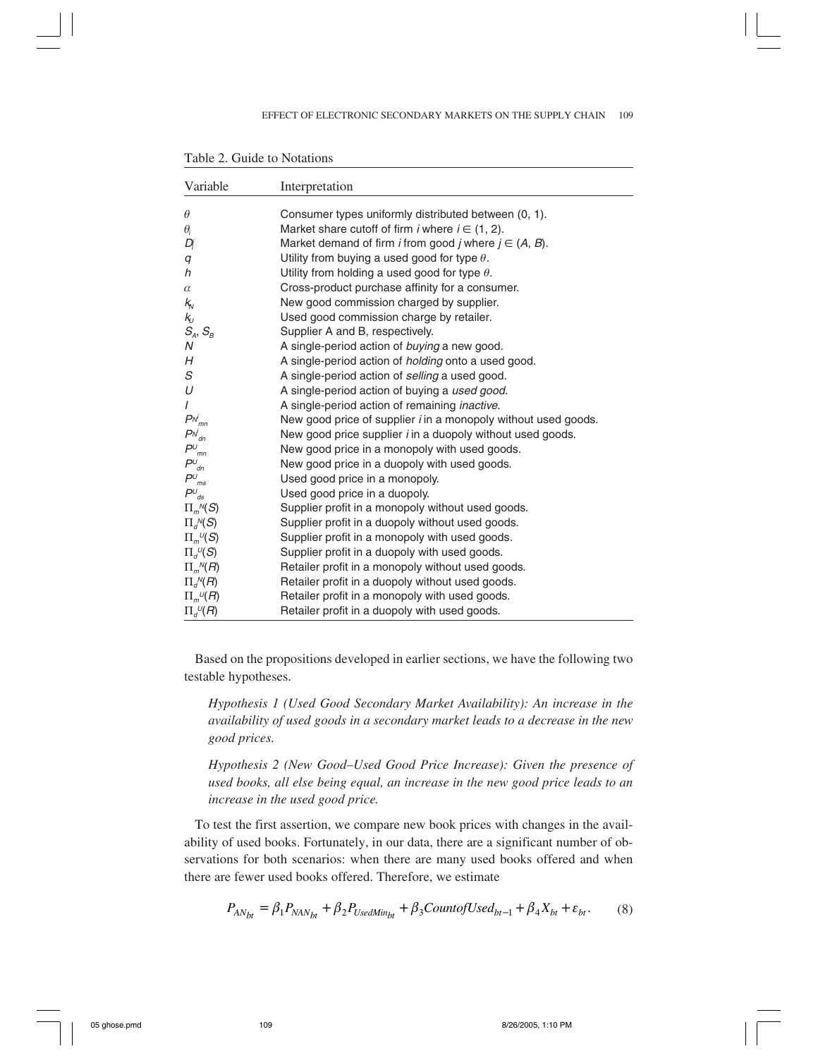| Variable                                                  | Interpretation                                                           |
|-----------------------------------------------------------|--------------------------------------------------------------------------|
| $\theta$                                                  | Consumer types uniformly distributed between (0, 1).                     |
| $\theta_i$                                                | Market share cutoff of firm <i>i</i> where $i \in (1, 2)$ .              |
| Dį                                                        | Market demand of firm <i>i</i> from good <i>j</i> where $j \in (A, B)$ . |
| q                                                         | Utility from buying a used good for type $\theta$ .                      |
| h                                                         | Utility from holding a used good for type $\theta$ .                     |
| $\alpha$                                                  | Cross-product purchase affinity for a consumer.                          |
| $k_{\rm v}$                                               | New good commission charged by supplier.                                 |
| $\mathsf{k}_\mathsf{U}$                                   | Used good commission charge by retailer.                                 |
| $S_A, S_B$                                                | Supplier A and B, respectively.                                          |
| N                                                         | A single-period action of buying a new good.                             |
| H                                                         | A single-period action of <i>holding</i> onto a used good.               |
| S                                                         | A single-period action of selling a used good.                           |
| U                                                         | A single-period action of buying a used good.                            |
| $\overline{I}$                                            | A single-period action of remaining <i>inactive</i> .                    |
| $P^{\scriptscriptstyle \mathcal N_{mn}^j}$                | New good price of supplier <i>i</i> in a monopoly without used goods.    |
| $P^N_{dn}$                                                | New good price supplier <i>i</i> in a duopoly without used goods.        |
| $P^{\scriptscriptstyle U}_{\ \ mn}$                       | New good price in a monopoly with used goods.                            |
| $P^{\scriptscriptstyle U}_{\ \ \scriptscriptstyle dn}$    | New good price in a duopoly with used goods.                             |
| $P^{\scriptscriptstyle U}_{\ \scriptscriptstyle ms}$      | Used good price in a monopoly.                                           |
| $P^{\scriptscriptstyle U}_{\ \, \prime\!\hspace{-.5mm}s}$ | Used good price in a duopoly.                                            |
| $\Pi_m{}^N(S)$                                            | Supplier profit in a monopoly without used goods.                        |
| $\Pi_{d}^{N}(S)$                                          | Supplier profit in a duopoly without used goods.                         |
| $\Pi_{m}^{\ \nu}(S)$                                      | Supplier profit in a monopoly with used goods.                           |
| $\Pi_{d}^{\ \nu}(\mathcal{S})$                            | Supplier profit in a duopoly with used goods.                            |
| $\Pi_{m}{}^N\!(R)$                                        | Retailer profit in a monopoly without used goods.                        |
| $\Pi_{d}^N(R)$                                            | Retailer profit in a duopoly without used goods.                         |
| $\Pi_{m}^{\nu}(R)$                                        | Retailer profit in a monopoly with used goods.                           |
| $\Pi_{d}^{U}(R)$                                          | Retailer profit in a duopoly with used goods.                            |

Table 2. Guide to Notations

Based on the propositions developed in earlier sections, we have the following two testable hypotheses.

*Hypothesis 1 (Used Good Secondary Market Availability): An increase in the availability of used goods in a secondary market leads to a decrease in the new good prices.*

*Hypothesis 2 (New Good–Used Good Price Increase): Given the presence of used books, all else being equal, an increase in the new good price leads to an increase in the used good price.*

To test the first assertion, we compare new book prices with changes in the availability of used books. Fortunately, in our data, there are a significant number of observations for both scenarios: when there are many used books offered and when there are fewer used books offered. Therefore, we estimate

$$
P_{AN_{bt}} = \beta_1 P_{NAN_{bt}} + \beta_2 P_{Use dMin_{bt}} + \beta_3 Count of Used_{bt-1} + \beta_4 X_{bt} + \varepsilon_{bt}.
$$
 (8)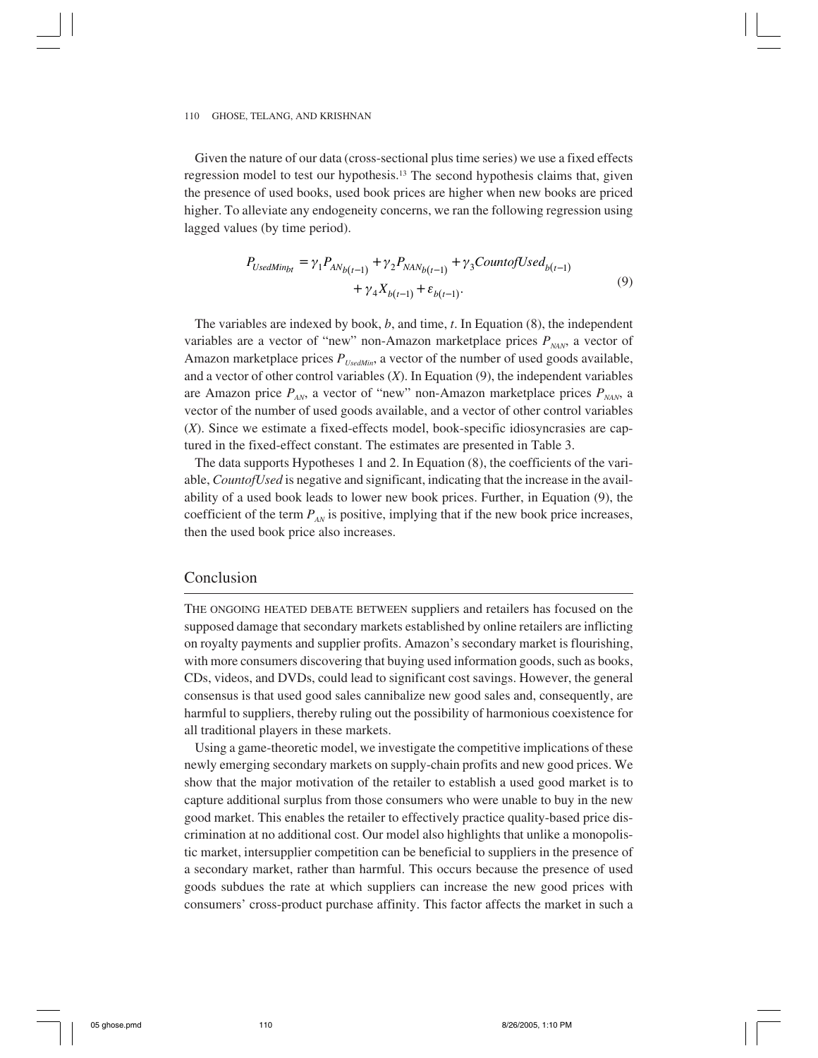Given the nature of our data (cross-sectional plus time series) we use a fixed effects regression model to test our hypothesis.13 The second hypothesis claims that, given the presence of used books, used book prices are higher when new books are priced higher. To alleviate any endogeneity concerns, we ran the following regression using lagged values (by time period).

$$
P_{UsedMin_{bt}} = \gamma_1 P_{AN_{b(t-1)}} + \gamma_2 P_{NAN_{b(t-1)}} + \gamma_3 Count of Used_{b(t-1)} + \gamma_4 X_{b(t-1)} + \varepsilon_{b(t-1)}.
$$
\n(9)

The variables are indexed by book, *b*, and time, *t*. In Equation (8), the independent variables are a vector of "new" non-Amazon marketplace prices  $P_{NAN}$ , a vector of Amazon marketplace prices  $P_{UsedMin}$ , a vector of the number of used goods available, and a vector of other control variables (*X*). In Equation (9), the independent variables are Amazon price  $P_{AN}$ , a vector of "new" non-Amazon marketplace prices  $P_{NAN}$ , a vector of the number of used goods available, and a vector of other control variables (*X*). Since we estimate a fixed-effects model, book-specific idiosyncrasies are captured in the fixed-effect constant. The estimates are presented in Table 3.

The data supports Hypotheses 1 and 2. In Equation (8), the coefficients of the variable, *CountofUsed* is negative and significant, indicating that the increase in the availability of a used book leads to lower new book prices. Further, in Equation (9), the coefficient of the term  $P_{AN}$  is positive, implying that if the new book price increases, then the used book price also increases.

#### Conclusion

THE ONGOING HEATED DEBATE BETWEEN suppliers and retailers has focused on the supposed damage that secondary markets established by online retailers are inflicting on royalty payments and supplier profits. Amazon's secondary market is flourishing, with more consumers discovering that buying used information goods, such as books, CDs, videos, and DVDs, could lead to significant cost savings. However, the general consensus is that used good sales cannibalize new good sales and, consequently, are harmful to suppliers, thereby ruling out the possibility of harmonious coexistence for all traditional players in these markets.

Using a game-theoretic model, we investigate the competitive implications of these newly emerging secondary markets on supply-chain profits and new good prices. We show that the major motivation of the retailer to establish a used good market is to capture additional surplus from those consumers who were unable to buy in the new good market. This enables the retailer to effectively practice quality-based price discrimination at no additional cost. Our model also highlights that unlike a monopolistic market, intersupplier competition can be beneficial to suppliers in the presence of a secondary market, rather than harmful. This occurs because the presence of used goods subdues the rate at which suppliers can increase the new good prices with consumers' cross-product purchase affinity. This factor affects the market in such a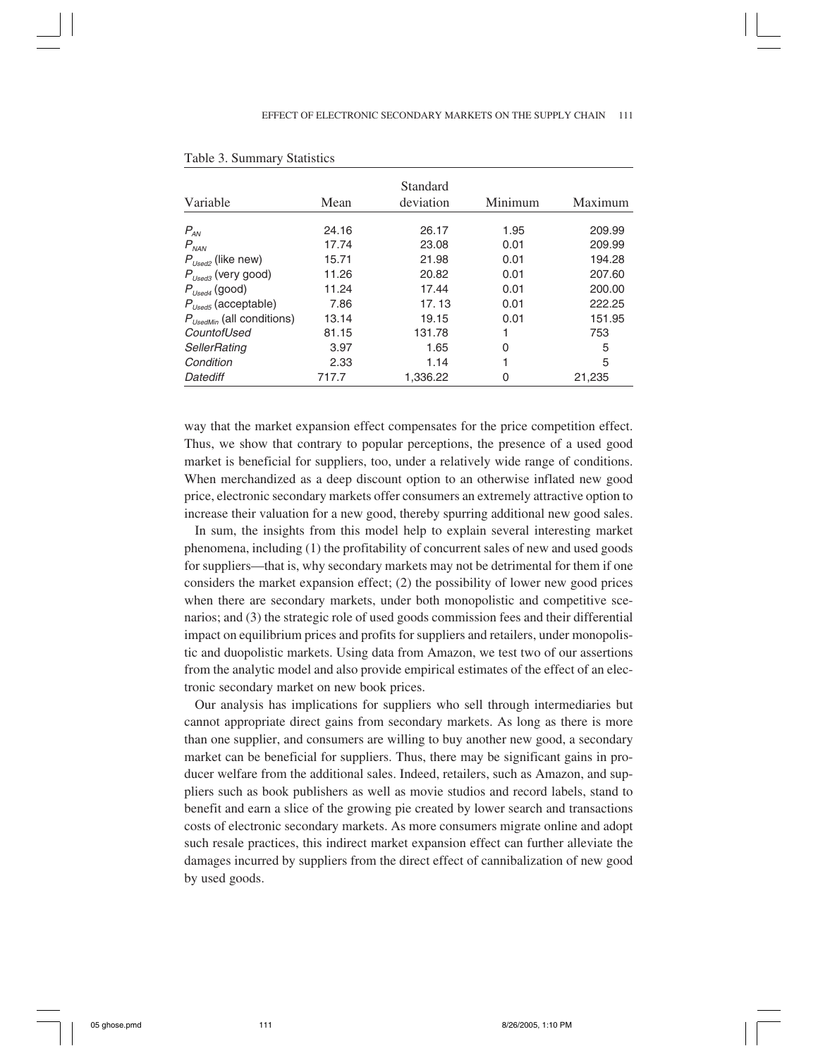|                                 |       | Standard  |         |         |
|---------------------------------|-------|-----------|---------|---------|
| Variable                        | Mean  | deviation | Minimum | Maximum |
|                                 | 24.16 | 26.17     | 1.95    | 209.99  |
| $P_{AN}$<br>$P_{NAN}$           | 17.74 | 23.08     | 0.01    | 209.99  |
| $P_{Used2}$ (like new)          | 15.71 | 21.98     | 0.01    | 194.28  |
| $P_{\text{Used3}}$ (very good)  | 11.26 | 20.82     | 0.01    | 207.60  |
| $P_{\text{Used4}}$ (good)       | 11.24 | 17.44     | 0.01    | 200.00  |
| $P_{\text{Used5}}$ (acceptable) | 7.86  | 17.13     | 0.01    | 222.25  |
| $P_{UsedMin}$ (all conditions)  | 13.14 | 19.15     | 0.01    | 151.95  |
| CountofUsed                     | 81.15 | 131.78    |         | 753     |
| SellerRating                    | 3.97  | 1.65      | O       | 5       |
| Condition                       | 2.33  | 1.14      |         | 5       |
| Datediff                        | 717.7 | 1,336.22  | O       | 21,235  |

#### Table 3. Summary Statistics

way that the market expansion effect compensates for the price competition effect. Thus, we show that contrary to popular perceptions, the presence of a used good market is beneficial for suppliers, too, under a relatively wide range of conditions. When merchandized as a deep discount option to an otherwise inflated new good price, electronic secondary markets offer consumers an extremely attractive option to increase their valuation for a new good, thereby spurring additional new good sales.

In sum, the insights from this model help to explain several interesting market phenomena, including (1) the profitability of concurrent sales of new and used goods for suppliers—that is, why secondary markets may not be detrimental for them if one considers the market expansion effect; (2) the possibility of lower new good prices when there are secondary markets, under both monopolistic and competitive scenarios; and (3) the strategic role of used goods commission fees and their differential impact on equilibrium prices and profits for suppliers and retailers, under monopolistic and duopolistic markets. Using data from Amazon, we test two of our assertions from the analytic model and also provide empirical estimates of the effect of an electronic secondary market on new book prices.

Our analysis has implications for suppliers who sell through intermediaries but cannot appropriate direct gains from secondary markets. As long as there is more than one supplier, and consumers are willing to buy another new good, a secondary market can be beneficial for suppliers. Thus, there may be significant gains in producer welfare from the additional sales. Indeed, retailers, such as Amazon, and suppliers such as book publishers as well as movie studios and record labels, stand to benefit and earn a slice of the growing pie created by lower search and transactions costs of electronic secondary markets. As more consumers migrate online and adopt such resale practices, this indirect market expansion effect can further alleviate the damages incurred by suppliers from the direct effect of cannibalization of new good by used goods.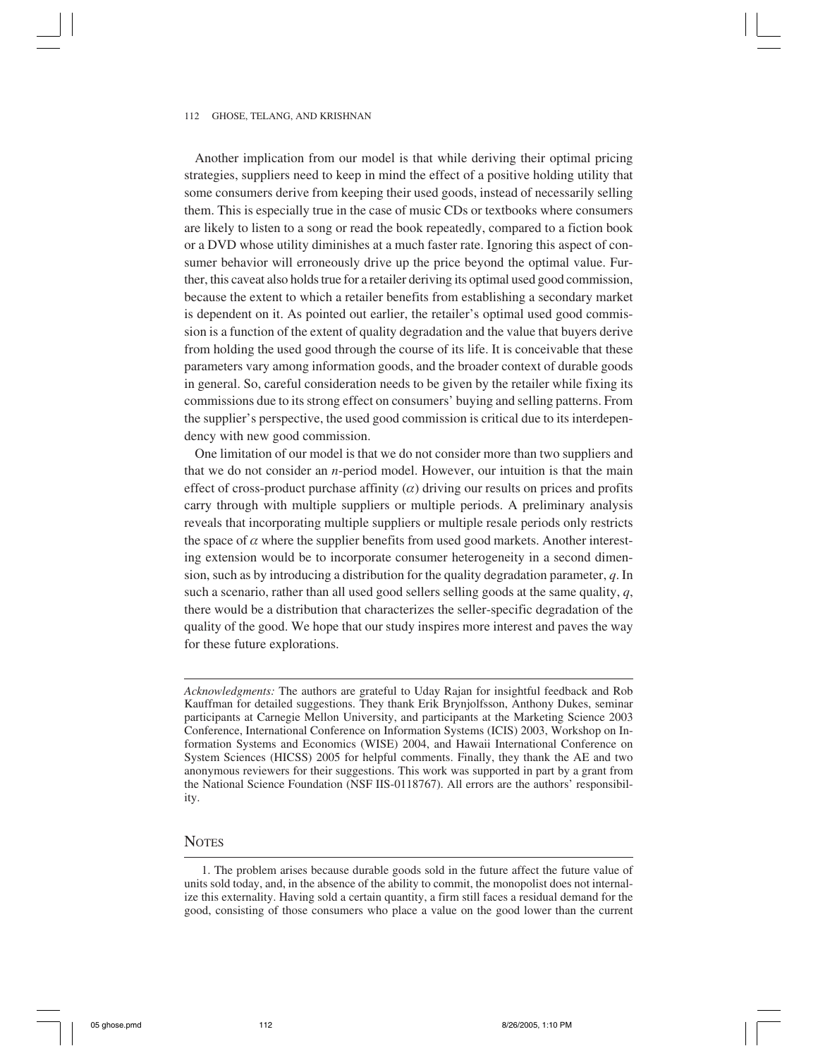Another implication from our model is that while deriving their optimal pricing strategies, suppliers need to keep in mind the effect of a positive holding utility that some consumers derive from keeping their used goods, instead of necessarily selling them. This is especially true in the case of music CDs or textbooks where consumers are likely to listen to a song or read the book repeatedly, compared to a fiction book or a DVD whose utility diminishes at a much faster rate. Ignoring this aspect of consumer behavior will erroneously drive up the price beyond the optimal value. Further, this caveat also holds true for a retailer deriving its optimal used good commission, because the extent to which a retailer benefits from establishing a secondary market is dependent on it. As pointed out earlier, the retailer's optimal used good commission is a function of the extent of quality degradation and the value that buyers derive from holding the used good through the course of its life. It is conceivable that these parameters vary among information goods, and the broader context of durable goods in general. So, careful consideration needs to be given by the retailer while fixing its commissions due to its strong effect on consumers' buying and selling patterns. From the supplier's perspective, the used good commission is critical due to its interdependency with new good commission.

One limitation of our model is that we do not consider more than two suppliers and that we do not consider an *n*-period model. However, our intuition is that the main effect of cross-product purchase affinity  $(\alpha)$  driving our results on prices and profits carry through with multiple suppliers or multiple periods. A preliminary analysis reveals that incorporating multiple suppliers or multiple resale periods only restricts the space of  $\alpha$  where the supplier benefits from used good markets. Another interesting extension would be to incorporate consumer heterogeneity in a second dimension, such as by introducing a distribution for the quality degradation parameter, *q*. In such a scenario, rather than all used good sellers selling goods at the same quality, *q*, there would be a distribution that characterizes the seller-specific degradation of the quality of the good. We hope that our study inspires more interest and paves the way for these future explorations.

#### **NOTES**

*Acknowledgments:* The authors are grateful to Uday Rajan for insightful feedback and Rob Kauffman for detailed suggestions. They thank Erik Brynjolfsson, Anthony Dukes, seminar participants at Carnegie Mellon University, and participants at the Marketing Science 2003 Conference, International Conference on Information Systems (ICIS) 2003, Workshop on Information Systems and Economics (WISE) 2004, and Hawaii International Conference on System Sciences (HICSS) 2005 for helpful comments. Finally, they thank the AE and two anonymous reviewers for their suggestions. This work was supported in part by a grant from the National Science Foundation (NSF IIS-0118767). All errors are the authors' responsibility.

<sup>1.</sup> The problem arises because durable goods sold in the future affect the future value of units sold today, and, in the absence of the ability to commit, the monopolist does not internalize this externality. Having sold a certain quantity, a firm still faces a residual demand for the good, consisting of those consumers who place a value on the good lower than the current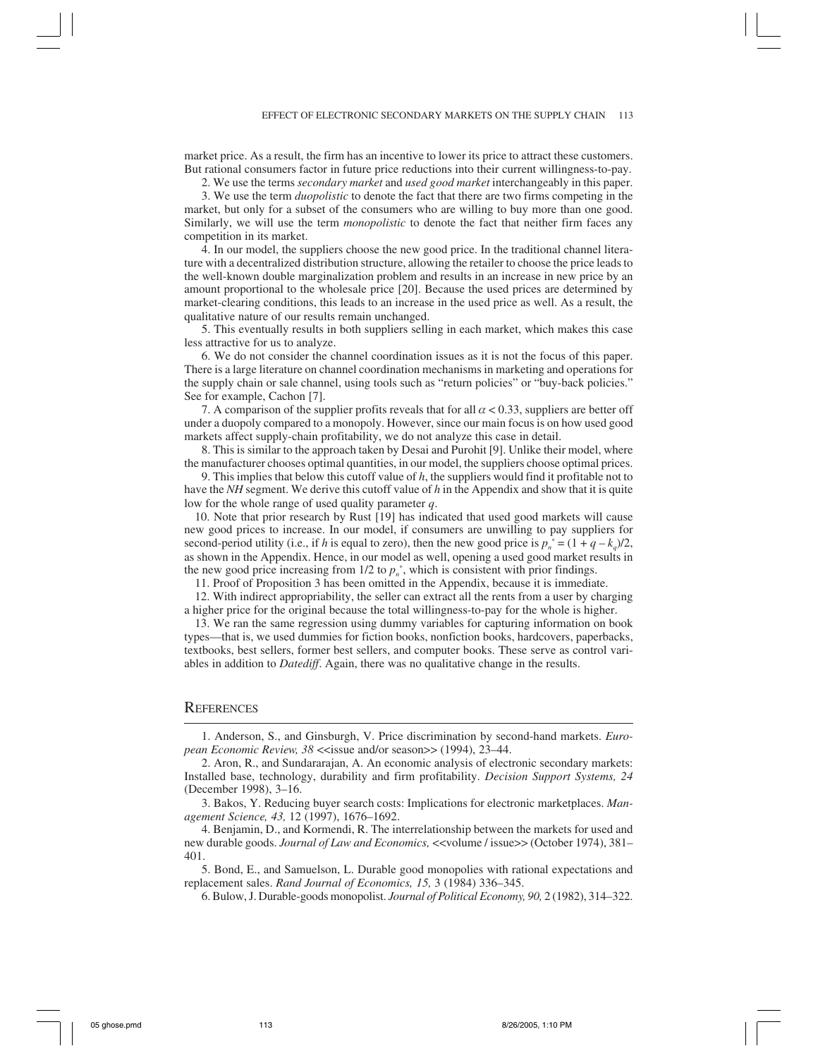market price. As a result, the firm has an incentive to lower its price to attract these customers. But rational consumers factor in future price reductions into their current willingness-to-pay.

2. We use the terms *secondary market* and *used good market* interchangeably in this paper.

3. We use the term *duopolistic* to denote the fact that there are two firms competing in the market, but only for a subset of the consumers who are willing to buy more than one good. Similarly, we will use the term *monopolistic* to denote the fact that neither firm faces any competition in its market.

4. In our model, the suppliers choose the new good price. In the traditional channel literature with a decentralized distribution structure, allowing the retailer to choose the price leads to the well-known double marginalization problem and results in an increase in new price by an amount proportional to the wholesale price [20]. Because the used prices are determined by market-clearing conditions, this leads to an increase in the used price as well. As a result, the qualitative nature of our results remain unchanged.

5. This eventually results in both suppliers selling in each market, which makes this case less attractive for us to analyze.

6. We do not consider the channel coordination issues as it is not the focus of this paper. There is a large literature on channel coordination mechanisms in marketing and operations for the supply chain or sale channel, using tools such as "return policies" or "buy-back policies." See for example, Cachon [7].

7. A comparison of the supplier profits reveals that for all  $\alpha$  < 0.33, suppliers are better off under a duopoly compared to a monopoly. However, since our main focus is on how used good markets affect supply-chain profitability, we do not analyze this case in detail.

8. This is similar to the approach taken by Desai and Purohit [9]. Unlike their model, where the manufacturer chooses optimal quantities, in our model, the suppliers choose optimal prices.

9. This implies that below this cutoff value of *h*, the suppliers would find it profitable not to have the *NH* segment. We derive this cutoff value of *h* in the Appendix and show that it is quite low for the whole range of used quality parameter *q*.

10. Note that prior research by Rust [19] has indicated that used good markets will cause new good prices to increase. In our model, if consumers are unwilling to pay suppliers for second-period utility (i.e., if *h* is equal to zero), then the new good price is  $p_n^* = (1 + q - k_q)/2$ , as shown in the Appendix. Hence, in our model as well, opening a used good market results in the new good price increasing from  $1/2$  to  $p_n^*$ , which is consistent with prior findings.

11. Proof of Proposition 3 has been omitted in the Appendix, because it is immediate.

12. With indirect appropriability, the seller can extract all the rents from a user by charging a higher price for the original because the total willingness-to-pay for the whole is higher.

13. We ran the same regression using dummy variables for capturing information on book types—that is, we used dummies for fiction books, nonfiction books, hardcovers, paperbacks, textbooks, best sellers, former best sellers, and computer books. These serve as control variables in addition to *Datediff*. Again, there was no qualitative change in the results.

#### **REFERENCES**

1. Anderson, S., and Ginsburgh, V. Price discrimination by second-hand markets. *European Economic Review, 38* <<issue and/or season>> (1994), 23–44.

3. Bakos, Y. Reducing buyer search costs: Implications for electronic marketplaces. *Management Science, 43,* 12 (1997), 1676–1692.

4. Benjamin, D., and Kormendi, R. The interrelationship between the markets for used and new durable goods. *Journal of Law and Economics,* <<volume / issue>> (October 1974), 381– 401.

5. Bond, E., and Samuelson, L. Durable good monopolies with rational expectations and replacement sales. *Rand Journal of Economics, 15,* 3 (1984) 336–345.

6. Bulow, J. Durable-goods monopolist. *Journal of Political Economy, 90,* 2 (1982), 314–322.

<sup>2.</sup> Aron, R., and Sundararajan, A. An economic analysis of electronic secondary markets: Installed base, technology, durability and firm profitability. *Decision Support Systems, 24* (December 1998), 3–16.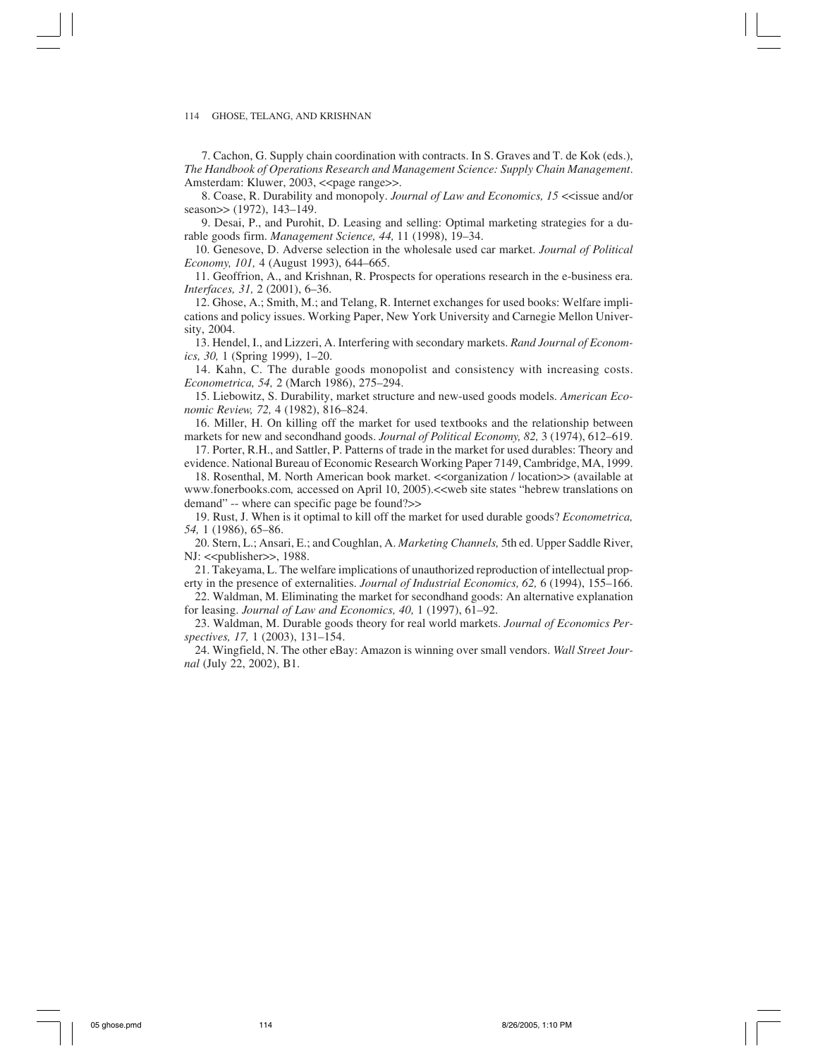7. Cachon, G. Supply chain coordination with contracts. In S. Graves and T. de Kok (eds.), *The Handbook of Operations Research and Management Science: Supply Chain Management*. Amsterdam: Kluwer, 2003, <<page range>>.

8. Coase, R. Durability and monopoly. *Journal of Law and Economics, 15* <<issue and/or season>> (1972), 143-149.

9. Desai, P., and Purohit, D. Leasing and selling: Optimal marketing strategies for a durable goods firm. *Management Science, 44,* 11 (1998), 19–34.

10. Genesove, D. Adverse selection in the wholesale used car market. *Journal of Political Economy, 101,* 4 (August 1993), 644–665.

11. Geoffrion, A., and Krishnan, R. Prospects for operations research in the e-business era. *Interfaces, 31,* 2 (2001), 6–36.

12. Ghose, A.; Smith, M.; and Telang, R. Internet exchanges for used books: Welfare implications and policy issues. Working Paper, New York University and Carnegie Mellon University, 2004.

13. Hendel, I., and Lizzeri, A. Interfering with secondary markets. *Rand Journal of Economics, 30,* 1 (Spring 1999), 1–20.

14. Kahn, C. The durable goods monopolist and consistency with increasing costs. *Econometrica, 54,* 2 (March 1986), 275–294.

15. Liebowitz, S. Durability, market structure and new-used goods models. *American Economic Review, 72,* 4 (1982), 816–824.

16. Miller, H. On killing off the market for used textbooks and the relationship between markets for new and secondhand goods. *Journal of Political Economy, 82,* 3 (1974), 612–619.

17. Porter, R.H., and Sattler, P. Patterns of trade in the market for used durables: Theory and evidence. National Bureau of Economic Research Working Paper 7149, Cambridge, MA, 1999.

18. Rosenthal, M. North American book market. <<organization / location>> (available at www.fonerbooks.com*,* accessed on April 10, 2005).<<web site states "hebrew translations on demand" -- where can specific page be found?>>

19. Rust, J. When is it optimal to kill off the market for used durable goods? *Econometrica, 54,* 1 (1986), 65–86.

20. Stern, L.; Ansari, E.; and Coughlan, A. *Marketing Channels,* 5th ed. Upper Saddle River, NJ: << publisher>>, 1988.

21. Takeyama, L. The welfare implications of unauthorized reproduction of intellectual property in the presence of externalities. *Journal of Industrial Economics, 62,* 6 (1994), 155–166.

22. Waldman, M. Eliminating the market for secondhand goods: An alternative explanation for leasing. *Journal of Law and Economics, 40,* 1 (1997), 61–92.

23. Waldman, M. Durable goods theory for real world markets. *Journal of Economics Perspectives, 17,* 1 (2003), 131–154.

24. Wingfield, N. The other eBay: Amazon is winning over small vendors. *Wall Street Journal* (July 22, 2002), B1.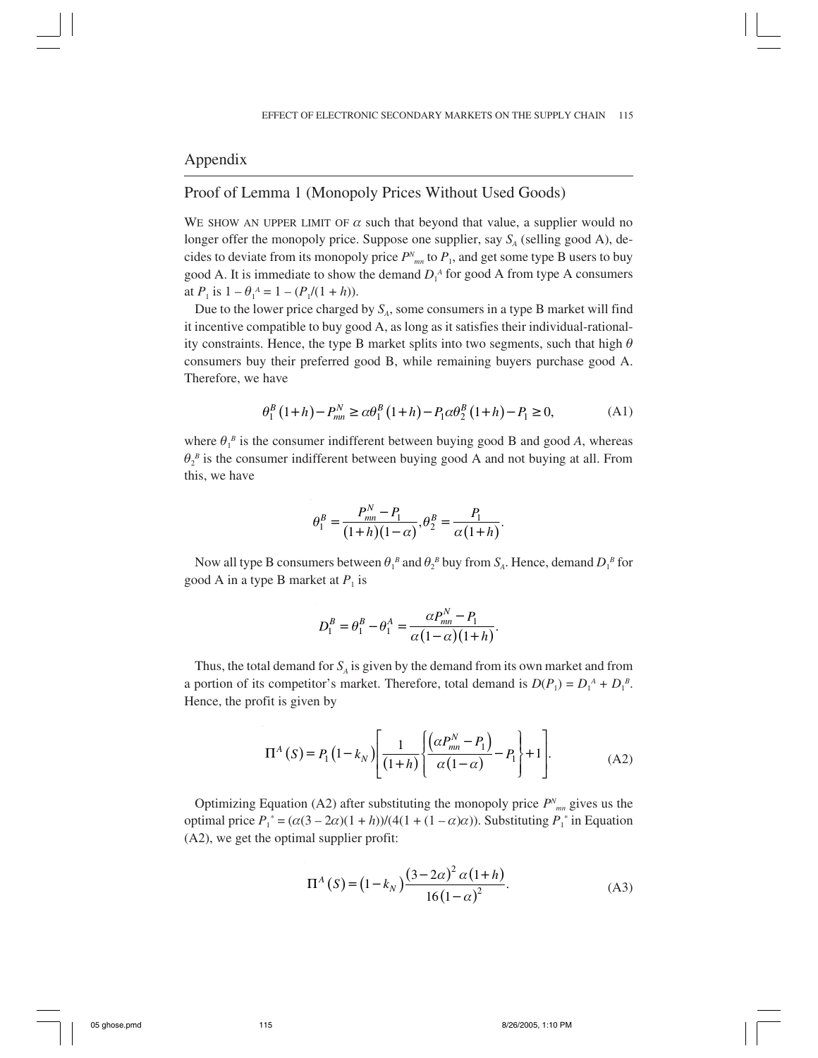# Appendix

# Proof of Lemma 1 (Monopoly Prices Without Used Goods)

WE SHOW AN UPPER LIMIT OF  $\alpha$  such that beyond that value, a supplier would no longer offer the monopoly price. Suppose one supplier, say  $S_A$  (selling good A), decides to deviate from its monopoly price  $P^N_{mn}$  to  $P_1$ , and get some type B users to buy good A. It is immediate to show the demand  $D_1^A$  for good A from type A consumers at  $P_1$  is  $1 - \theta_1^A = 1 - (P_1/(1 + h)).$ 

Due to the lower price charged by  $S_A$ , some consumers in a type B market will find it incentive compatible to buy good A, as long as it satisfies their individual-rationality constraints. Hence, the type B market splits into two segments, such that high  $\theta$ consumers buy their preferred good B, while remaining buyers purchase good A. Therefore, we have

$$
\theta_1^B (1+h) - P_{mn}^N \ge \alpha \theta_1^B (1+h) - P_1 \alpha \theta_2^B (1+h) - P_1 \ge 0,
$$
 (A1)

where  $\theta_1^B$  is the consumer indifferent between buying good B and good A, whereas  $\theta_2^{\ B}$  is the consumer indifferent between buying good A and not buying at all. From this, we have

$$
\theta_1^B = \frac{P_{mn}^N - P_1}{(1+h)(1-\alpha)}, \theta_2^B = \frac{P_1}{\alpha(1+h)}.
$$

Now all type B consumers between  $\theta_1^{\ B}$  and  $\theta_2^{\ B}$  buy from  $S_A$ . Hence, demand  $D_1^{\ B}$  for good A in a type B market at  $P_1$  is

$$
D_1^B = \theta_1^B - \theta_1^A = \frac{\alpha P_{mn}^N - P_1}{\alpha (1 - \alpha)(1 + h)}.
$$

Thus, the total demand for  $S_A$  is given by the demand from its own market and from a portion of its competitor's market. Therefore, total demand is  $D(P_1) = D_1^A + D_1^B$ . Hence, the profit is given by

$$
\Pi^{A}(S) = P_{1}(1 - k_{N}) \left[ \frac{1}{(1+h)} \left\{ \frac{\left( \alpha P_{mn}^{N} - P_{1} \right)}{\alpha (1 - \alpha)} - P_{1} \right\} + 1 \right].
$$
 (A2)

Optimizing Equation (A2) after substituting the monopoly price  $P<sup>N</sup>_{mn}$  gives us the optimal price  $P_1^* = (\alpha(3 - 2\alpha)(1 + h))/(4(1 + (1 - \alpha)\alpha))$ . Substituting  $P_1^*$  in Equation (A2), we get the optimal supplier profit:

$$
\Pi^{A}(S) = (1 - k_{N}) \frac{(3 - 2\alpha)^{2} \alpha (1 + h)}{16(1 - \alpha)^{2}}.
$$
 (A3)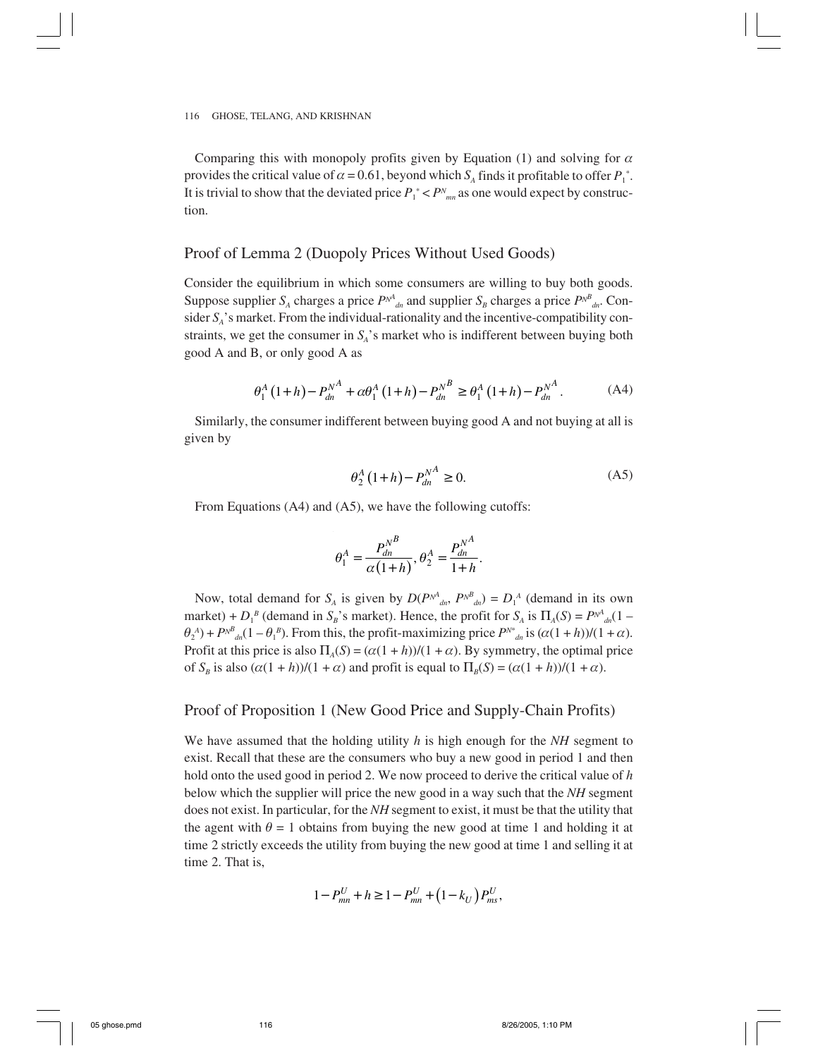Comparing this with monopoly profits given by Equation (1) and solving for  $\alpha$ provides the critical value of  $\alpha = 0.61$ , beyond which  $S_A$  finds it profitable to offer  $P_1^*$ . It is trivial to show that the deviated price  $P_1^* < P^N_{mn}$  as one would expect by construction.

## Proof of Lemma 2 (Duopoly Prices Without Used Goods)

Consider the equilibrium in which some consumers are willing to buy both goods. Suppose supplier  $S_A$  charges a price  $P^{N^A}_{d}$  and supplier  $S_B$  charges a price  $P^{N^B}_{d}$ . Consider  $S_A$ 's market. From the individual-rationality and the incentive-compatibility constraints, we get the consumer in  $S_A$ 's market who is indifferent between buying both good A and B, or only good A as

$$
\theta_1^A (1+h) - P_{dn}^{N^A} + \alpha \theta_1^A (1+h) - P_{dn}^{N^B} \ge \theta_1^A (1+h) - P_{dn}^{N^A}.
$$
 (A4)

Similarly, the consumer indifferent between buying good A and not buying at all is given by

$$
\theta_2^A (1+h) - P_{dn}^{N^A} \ge 0.
$$
 (A5)

From Equations (A4) and (A5), we have the following cutoffs:

$$
\theta_1^A = \frac{P_{dn}^{N^B}}{\alpha (1+h)}, \theta_2^A = \frac{P_{dn}^{N^A}}{1+h}.
$$

Now, total demand for  $S_A$  is given by  $D(P^{NA}_{dn}, P^{NB}_{dn}) = D_1^A$  (demand in its own market) +  $D_1^B$  (demand in  $S_B$ 's market). Hence, the profit for  $S_A$  is  $\Pi_A(S) = P^{N^A}{}_{dn}(1 \theta_2^A$  +  $P^{N^B}$ <sub>dn</sub>(1 –  $\theta_1^B$ ). From this, the profit-maximizing price  $P^{N^*}$ <sub>dn</sub> is  $(\alpha(1+h))/(1+\alpha)$ . Profit at this price is also  $\Pi_A(S) = (\alpha(1 + h))/(1 + \alpha)$ . By symmetry, the optimal price of  $S_B$  is also  $(\alpha(1 + h))/(1 + \alpha)$  and profit is equal to  $\Pi_B(S) = (\alpha(1 + h))/(1 + \alpha)$ .

## Proof of Proposition 1 (New Good Price and Supply-Chain Profits)

We have assumed that the holding utility *h* is high enough for the *NH* segment to exist. Recall that these are the consumers who buy a new good in period 1 and then hold onto the used good in period 2. We now proceed to derive the critical value of *h* below which the supplier will price the new good in a way such that the *NH* segment does not exist. In particular, for the *NH* segment to exist, it must be that the utility that the agent with  $\theta = 1$  obtains from buying the new good at time 1 and holding it at time 2 strictly exceeds the utility from buying the new good at time 1 and selling it at time 2. That is,

$$
1 - P_{mn}^U + h \ge 1 - P_{mn}^U + (1 - k_U) P_{ms}^U,
$$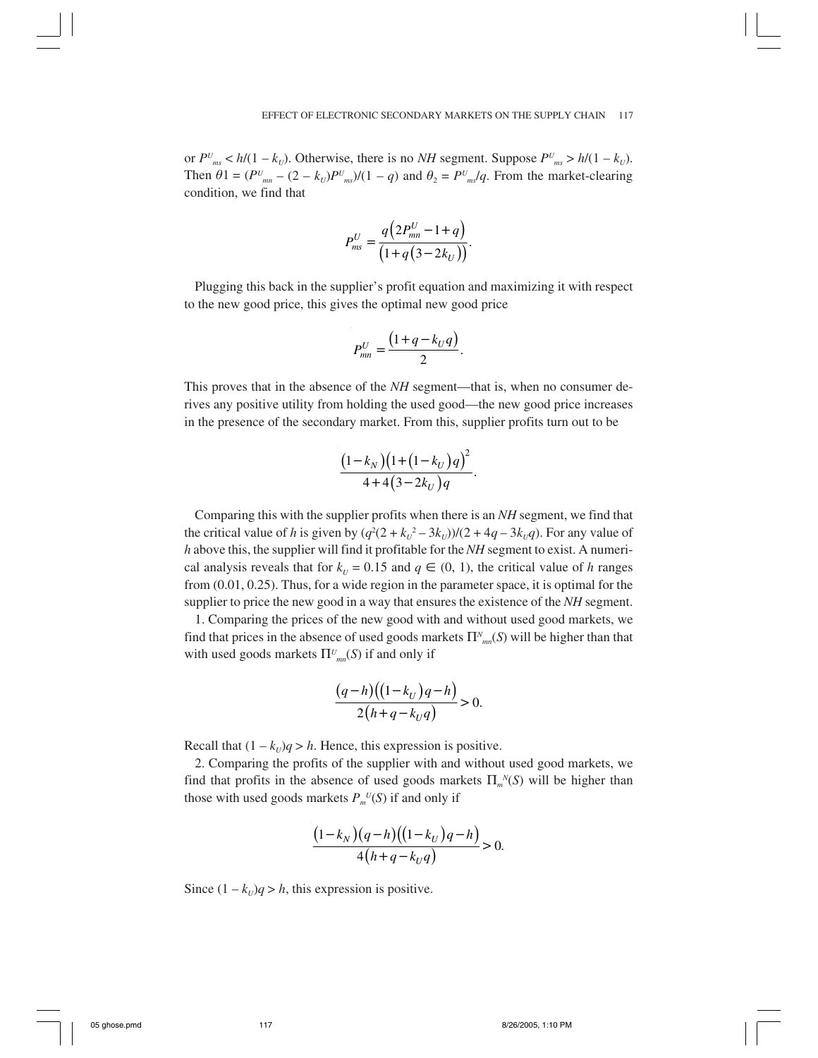or  $P^{U}_{ms} < h/(1 - k_U)$ . Otherwise, there is no *NH* segment. Suppose  $P^{U}_{ms} > h/(1 - k_U)$ . Then  $\theta$ 1 =  $(PU_{mn} - (2 - k_U)P U_{ms})/(1 - q)$  and  $\theta_2 = P U_{ms}/q$ . From the market-clearing condition, we find that

$$
P_{ms}^{U} = \frac{q(2P_{mn}^{U} - 1 + q)}{(1 + q(3 - 2k_{U}))}.
$$

Plugging this back in the supplier's profit equation and maximizing it with respect to the new good price, this gives the optimal new good price

$$
P_{mn}^U = \frac{\left(1+q-k_Uq\right)}{2}.
$$

This proves that in the absence of the *NH* segment—that is, when no consumer derives any positive utility from holding the used good—the new good price increases in the presence of the secondary market. From this, supplier profits turn out to be

$$
\frac{(1-k_N)(1+(1-k_U)q)^2}{4+4(3-2k_U)q}.
$$

Comparing this with the supplier profits when there is an *NH* segment, we find that the critical value of *h* is given by  $(q^2(2 + k_U^2 - 3k_U))/(2 + 4q - 3k_Uq)$ . For any value of *h* above this, the supplier will find it profitable for the *NH* segment to exist. A numerical analysis reveals that for  $k_U = 0.15$  and  $q \in (0, 1)$ , the critical value of *h* ranges from (0.01, 0.25). Thus, for a wide region in the parameter space, it is optimal for the supplier to price the new good in a way that ensures the existence of the *NH* segment.

1. Comparing the prices of the new good with and without used good markets, we find that prices in the absence of used goods markets Π*<sup>N</sup> mn*(*S*) will be higher than that with used goods markets  $\Pi_{mn}^U(S)$  if and only if

$$
\frac{(q-h)\big((1-k_U)q-h\big)}{2\big(h+q-k_Uq\big)} > 0.
$$

Recall that  $(1 - k_U)q > h$ . Hence, this expression is positive.

2. Comparing the profits of the supplier with and without used good markets, we find that profits in the absence of used goods markets  $\Pi_m(N)$  will be higher than those with used goods markets  $P_m^{\ U}(S)$  if and only if

$$
\frac{(1-k_N)(q-h)((1-k_U)q-h)}{4(h+q-k_Uq)} > 0.
$$

Since  $(1 - k_U)q > h$ , this expression is positive.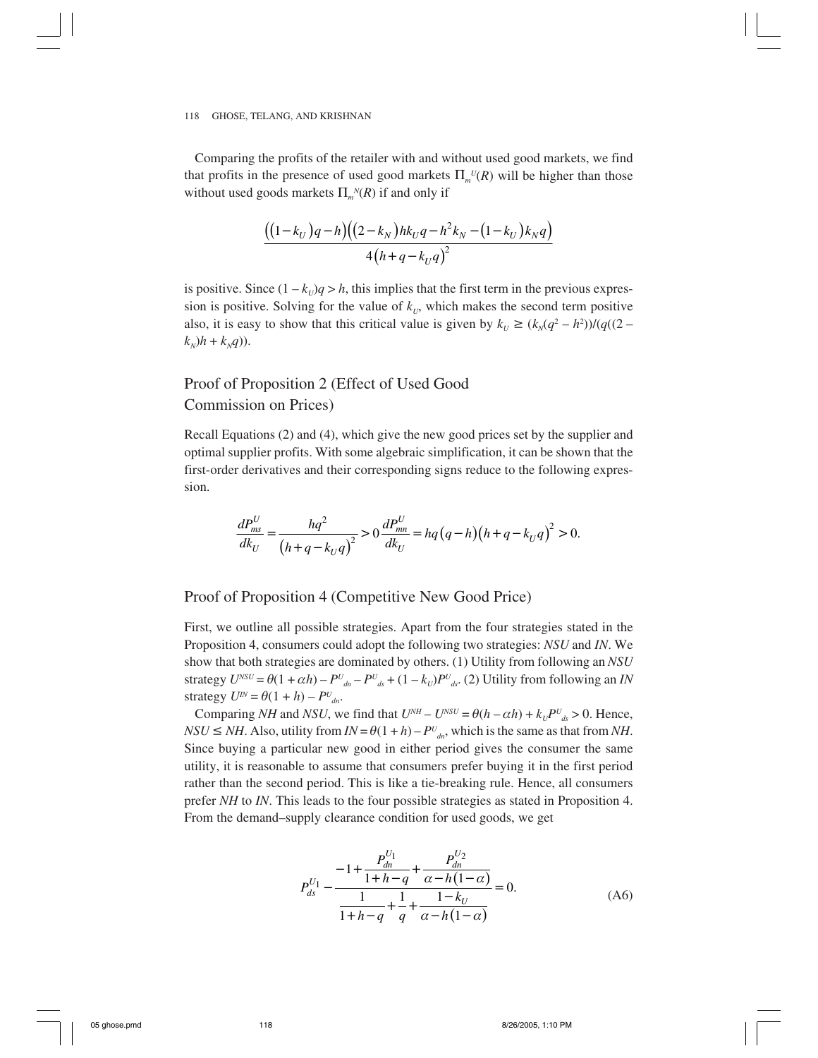Comparing the profits of the retailer with and without used good markets, we find that profits in the presence of used good markets  $\Pi_{m}^{U}(R)$  will be higher than those without used goods markets  $\Pi_m^N(R)$  if and only if

$$
\frac{((1-k_U)q-h)((2-k_N)hk_Uq-h^2k_N-(1-k_U)k_Nq)}{4(h+q-k_Uq)^2}
$$

is positive. Since  $(1 - k_U)q > h$ , this implies that the first term in the previous expression is positive. Solving for the value of  $k<sub>U</sub>$ , which makes the second term positive also, it is easy to show that this critical value is given by  $k_U \ge (k_N(q^2 - h^2))/(q((2$  $k_N$ ) $h + k_Nq$ )).

# Proof of Proposition 2 (Effect of Used Good Commission on Prices)

Recall Equations (2) and (4), which give the new good prices set by the supplier and optimal supplier profits. With some algebraic simplification, it can be shown that the first-order derivatives and their corresponding signs reduce to the following expression.

$$
\frac{dP_{ms}^U}{dk_U} = \frac{hq^2}{(h+q-k_Uq)^2} > 0 \frac{dP_{mn}^U}{dk_U} = hq\left(q-h\right)\left(h+q-k_Uq\right)^2 > 0.
$$

## Proof of Proposition 4 (Competitive New Good Price)

First, we outline all possible strategies. Apart from the four strategies stated in the Proposition 4, consumers could adopt the following two strategies: *NSU* and *IN*. We show that both strategies are dominated by others. (1) Utility from following an *NSU* strategy  $U^{NSU} = \theta(1 + \alpha h) - P^U_{\alpha n} - P^U_{\alpha s} + (1 - k_U)P^U_{\alpha s}$ . (2) Utility from following an *IN* strategy  $U^N = \theta(1 + h) - P^U_{dn}$ .

Comparing *NH* and *NSU*, we find that  $U^{NH} - U^{NSU} = \theta(h - \alpha h) + k_U P^U_{ds} > 0$ . Hence,  $NSU \leq NH$ . Also, utility from  $IN = \theta(1 + h) - P_{dn}^U$ , which is the same as that from *NH*. Since buying a particular new good in either period gives the consumer the same utility, it is reasonable to assume that consumers prefer buying it in the first period rather than the second period. This is like a tie-breaking rule. Hence, all consumers prefer *NH* to *IN*. This leads to the four possible strategies as stated in Proposition 4. From the demand–supply clearance condition for used goods, we get

$$
P_{ds}^{U_1} - \frac{-1 + \frac{P_{dn}^{U_1}}{1 + h - q} + \frac{P_{dn}^{U_2}}{\alpha - h(1 - \alpha)}}{1 + h - q + \frac{1}{q} + \frac{1 - k_U}{\alpha - h(1 - \alpha)}} = 0.
$$
 (A6)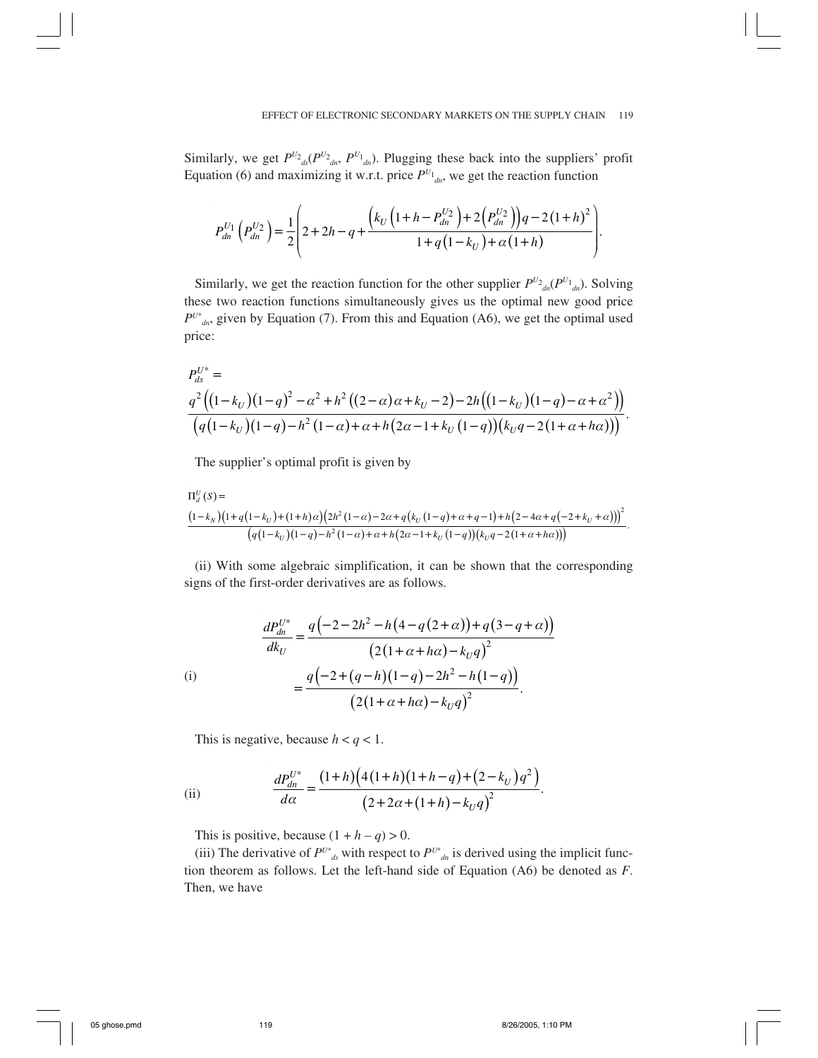Similarly, we get  $P^{U_2}{}_{ds}(P^{U_2}{}_{dn}, P^{U_1}{}_{dn})$ . Plugging these back into the suppliers' profit Equation (6) and maximizing it w.r.t. price  $P^{U_1}$ <sub>dn</sub>, we get the reaction function

$$
P_{dn}^{U_1}\left(P_{dn}^{U_2}\right) = \frac{1}{2}\left(2 + 2h - q + \frac{\left(k_U\left(1 + h - P_{dn}^{U_2}\right) + 2\left(P_{dn}^{U_2}\right)\right)q - 2\left(1 + h\right)^2}{1 + q\left(1 - k_U\right) + \alpha\left(1 + h\right)}\right).
$$

Similarly, we get the reaction function for the other supplier  $P^{U_2}{}_{dn}(P^{U_1}{}_{d}P)$ . Solving these two reaction functions simultaneously gives us the optimal new good price  $P^{U^*}_{d,n}$ , given by Equation (7). From this and Equation (A6), we get the optimal used price:

$$
P_{ds}^{U^*} =
$$
\n
$$
\frac{q^2 \left( (1 - k_U)(1 - q)^2 - \alpha^2 + h^2 \left( (2 - \alpha)\alpha + k_U - 2 \right) - 2h \left( (1 - k_U)(1 - q) - \alpha + \alpha^2 \right) \right)}{\left( q (1 - k_U)(1 - q) - h^2 (1 - \alpha) + \alpha + h \left( 2\alpha - 1 + k_U (1 - q) \right) \left( k_U q - 2 \left( 1 + \alpha + h\alpha \right) \right) \right)}.
$$

The supplier's optimal profit is given by

$$
\frac{\Pi_{d}^{U}(S) = (1 - k_{N})(1 + q(1 - k_{U}) + (1 + h)\alpha)(2h^{2}(1 - \alpha) - 2\alpha + q(k_{U}(1 - q) + \alpha + q - 1) + h(2 - 4\alpha + q(-2 + k_{U} + \alpha)))^{2}}{(q(1 - k_{U})(1 - q) - h^{2}(1 - \alpha) + \alpha + h(2\alpha - 1 + k_{U}(1 - q))(k_{U}q - 2(1 + \alpha + h\alpha)))}.
$$

(ii) With some algebraic simplification, it can be shown that the corresponding signs of the first-order derivatives are as follows.

$$
\frac{dP_{dn}^{U^*}}{dk_U} = \frac{q(-2 - 2h^2 - h(4 - q(2 + \alpha)) + q(3 - q + \alpha))}{(2(1 + \alpha + h\alpha) - k_Uq)^2}
$$
\n(i)\n
$$
= \frac{q(-2 + (q - h)(1 - q) - 2h^2 - h(1 - q))}{(2(1 + \alpha + h\alpha) - k_Uq)^2}.
$$

This is negative, because  $h < q < 1$ .

(ii) 
$$
\frac{dP_{dn}^{U^*}}{d\alpha} = \frac{(1+h)\Big(4(1+h)(1+h-q)+(2-k_U)q^2\Big)}{\Big(2+2\alpha+(1+h)-k_Uq\Big)^2}.
$$

This is positive, because  $(1 + h - q) > 0$ .

(iii) The derivative of  $P^{U^*}_{d}$  with respect to  $P^{U^*}_{d}$  is derived using the implicit function theorem as follows. Let the left-hand side of Equation (A6) be denoted as *F*. Then, we have